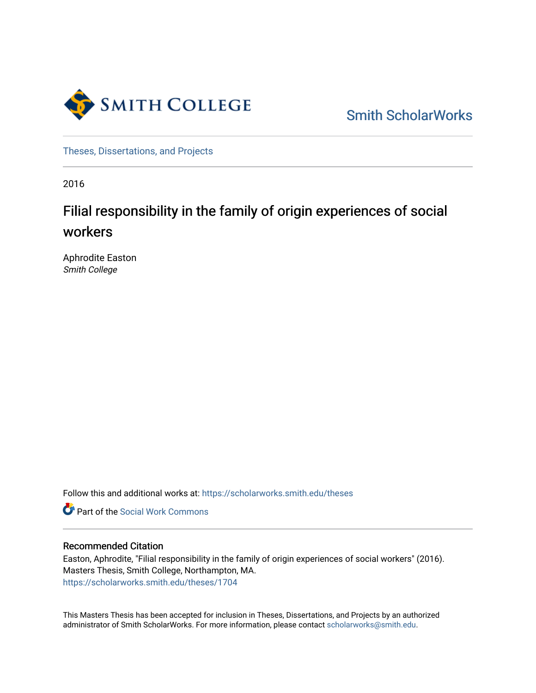

[Smith ScholarWorks](https://scholarworks.smith.edu/) 

[Theses, Dissertations, and Projects](https://scholarworks.smith.edu/theses) 

2016

## Filial responsibility in the family of origin experiences of social workers

Aphrodite Easton Smith College

Follow this and additional works at: [https://scholarworks.smith.edu/theses](https://scholarworks.smith.edu/theses?utm_source=scholarworks.smith.edu%2Ftheses%2F1704&utm_medium=PDF&utm_campaign=PDFCoverPages) 

**C** Part of the [Social Work Commons](http://network.bepress.com/hgg/discipline/713?utm_source=scholarworks.smith.edu%2Ftheses%2F1704&utm_medium=PDF&utm_campaign=PDFCoverPages)

#### Recommended Citation

Easton, Aphrodite, "Filial responsibility in the family of origin experiences of social workers" (2016). Masters Thesis, Smith College, Northampton, MA. [https://scholarworks.smith.edu/theses/1704](https://scholarworks.smith.edu/theses/1704?utm_source=scholarworks.smith.edu%2Ftheses%2F1704&utm_medium=PDF&utm_campaign=PDFCoverPages)

This Masters Thesis has been accepted for inclusion in Theses, Dissertations, and Projects by an authorized administrator of Smith ScholarWorks. For more information, please contact [scholarworks@smith.edu](mailto:scholarworks@smith.edu).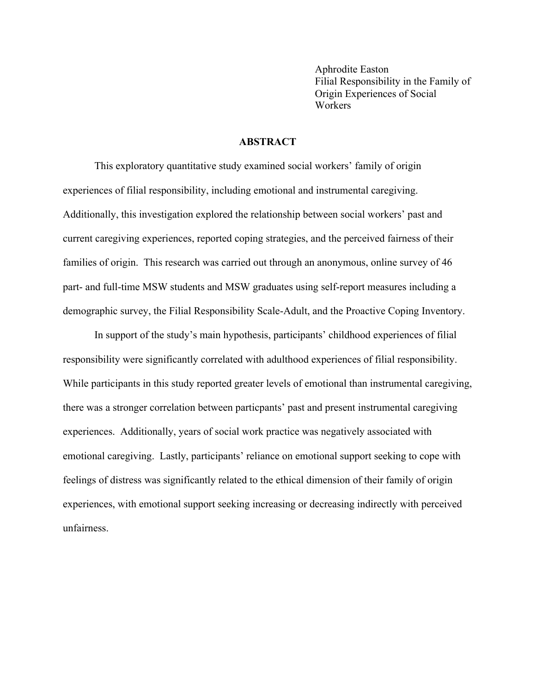Aphrodite Easton Filial Responsibility in the Family of Origin Experiences of Social Workers

#### **ABSTRACT**

This exploratory quantitative study examined social workers' family of origin experiences of filial responsibility, including emotional and instrumental caregiving. Additionally, this investigation explored the relationship between social workers' past and current caregiving experiences, reported coping strategies, and the perceived fairness of their families of origin. This research was carried out through an anonymous, online survey of 46 part- and full-time MSW students and MSW graduates using self-report measures including a demographic survey, the Filial Responsibility Scale-Adult, and the Proactive Coping Inventory.

In support of the study's main hypothesis, participants' childhood experiences of filial responsibility were significantly correlated with adulthood experiences of filial responsibility. While participants in this study reported greater levels of emotional than instrumental caregiving, there was a stronger correlation between particpants' past and present instrumental caregiving experiences. Additionally, years of social work practice was negatively associated with emotional caregiving. Lastly, participants' reliance on emotional support seeking to cope with feelings of distress was significantly related to the ethical dimension of their family of origin experiences, with emotional support seeking increasing or decreasing indirectly with perceived unfairness.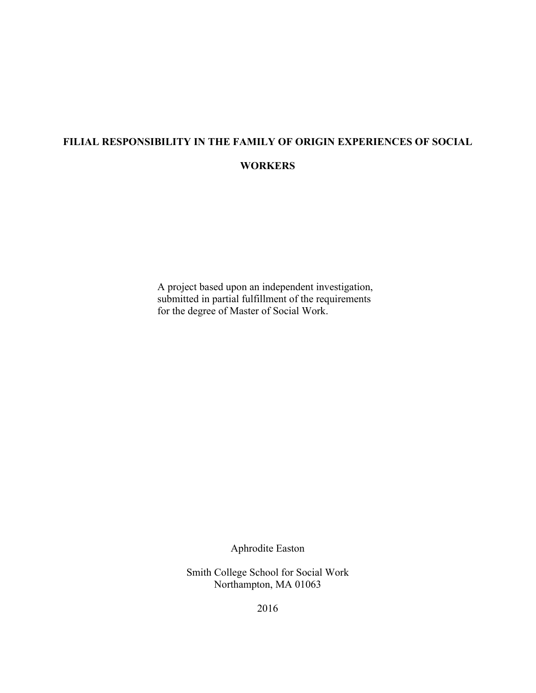# **FILIAL RESPONSIBILITY IN THE FAMILY OF ORIGIN EXPERIENCES OF SOCIAL**

## **WORKERS**

A project based upon an independent investigation, submitted in partial fulfillment of the requirements for the degree of Master of Social Work.

Aphrodite Easton

Smith College School for Social Work Northampton, MA 01063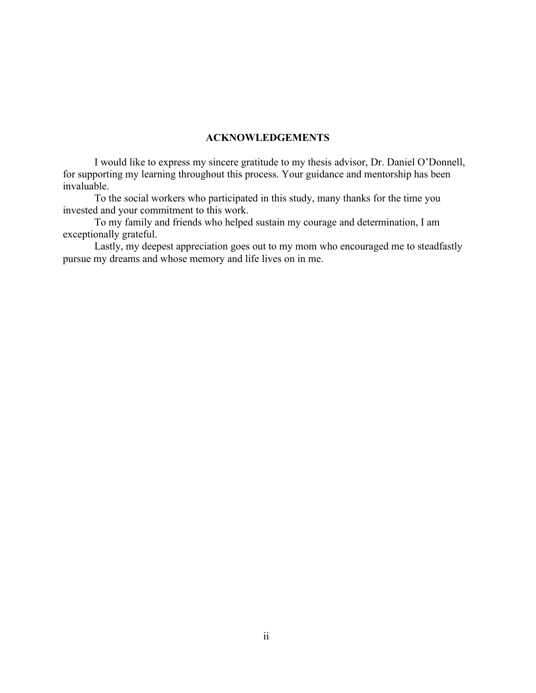#### **ACKNOWLEDGEMENTS**

I would like to express my sincere gratitude to my thesis advisor, Dr. Daniel O'Donnell, for supporting my learning throughout this process. Your guidance and mentorship has been invaluable.

To the social workers who participated in this study, many thanks for the time you invested and your commitment to this work.

To my family and friends who helped sustain my courage and determination, I am exceptionally grateful.

Lastly, my deepest appreciation goes out to my mom who encouraged me to steadfastly pursue my dreams and whose memory and life lives on in me.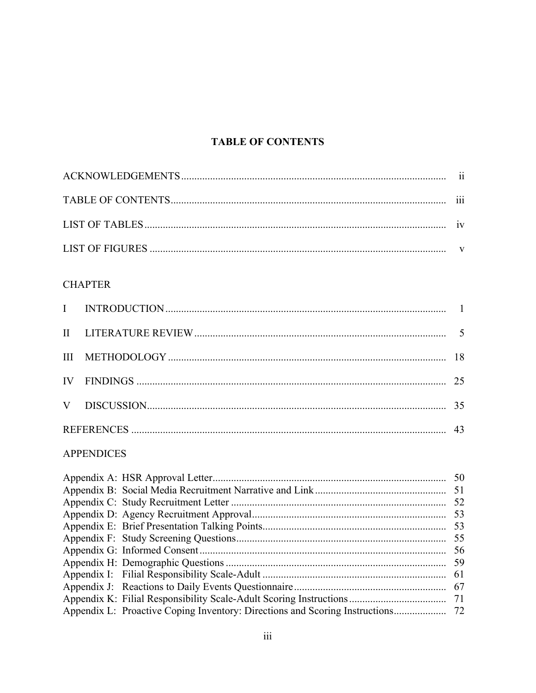## **TABLE OF CONTENTS**

| 111 |
|-----|
|     |
|     |

## **CHAPTER**

### **APPENDICES**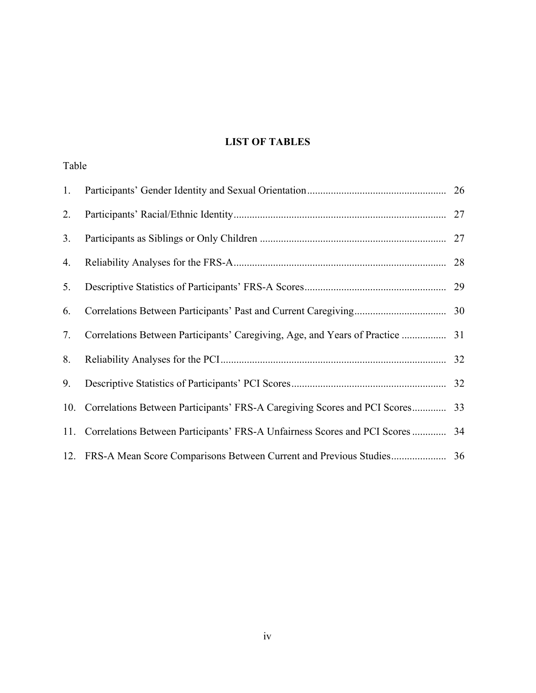## **LIST OF TABLES**

| Table          |                                                                               |  |
|----------------|-------------------------------------------------------------------------------|--|
| 1.             |                                                                               |  |
| 2.             |                                                                               |  |
| 3 <sub>1</sub> |                                                                               |  |
| 4.             |                                                                               |  |
| 5.             |                                                                               |  |
| 6.             |                                                                               |  |
| 7.             |                                                                               |  |
| 8.             |                                                                               |  |
| 9.             |                                                                               |  |
| 10.            |                                                                               |  |
| 11.            | Correlations Between Participants' FRS-A Unfairness Scores and PCI Scores  34 |  |
|                |                                                                               |  |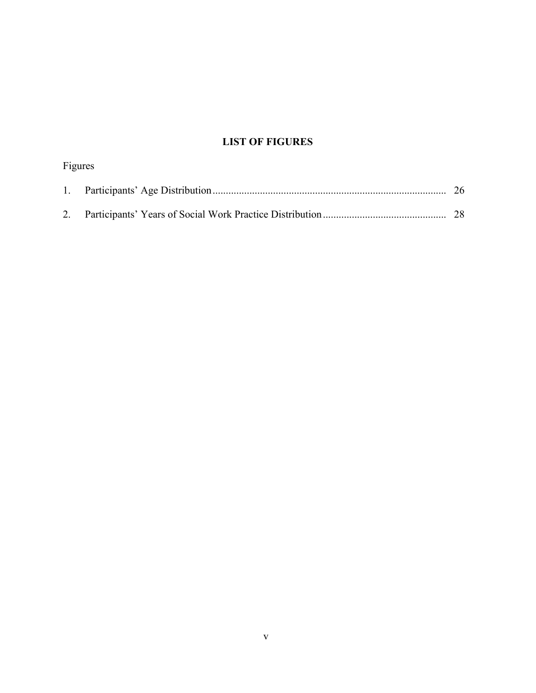## **LIST OF FIGURES**

| Figures |     |
|---------|-----|
|         | -26 |
|         |     |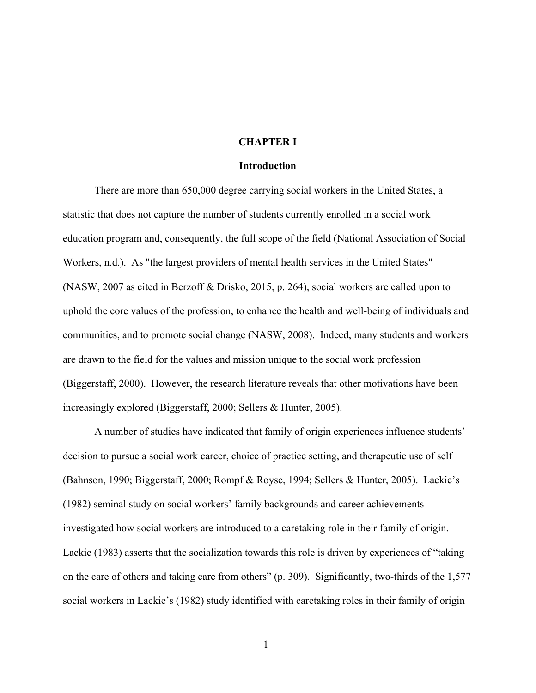#### **CHAPTER I**

#### **Introduction**

There are more than 650,000 degree carrying social workers in the United States, a statistic that does not capture the number of students currently enrolled in a social work education program and, consequently, the full scope of the field (National Association of Social Workers, n.d.). As "the largest providers of mental health services in the United States" (NASW, 2007 as cited in Berzoff & Drisko, 2015, p. 264), social workers are called upon to uphold the core values of the profession, to enhance the health and well-being of individuals and communities, and to promote social change (NASW, 2008). Indeed, many students and workers are drawn to the field for the values and mission unique to the social work profession (Biggerstaff, 2000). However, the research literature reveals that other motivations have been increasingly explored (Biggerstaff, 2000; Sellers & Hunter, 2005).

A number of studies have indicated that family of origin experiences influence students' decision to pursue a social work career, choice of practice setting, and therapeutic use of self (Bahnson, 1990; Biggerstaff, 2000; Rompf & Royse, 1994; Sellers & Hunter, 2005). Lackie's (1982) seminal study on social workers' family backgrounds and career achievements investigated how social workers are introduced to a caretaking role in their family of origin. Lackie (1983) asserts that the socialization towards this role is driven by experiences of "taking on the care of others and taking care from others" (p. 309). Significantly, two-thirds of the 1,577 social workers in Lackie's (1982) study identified with caretaking roles in their family of origin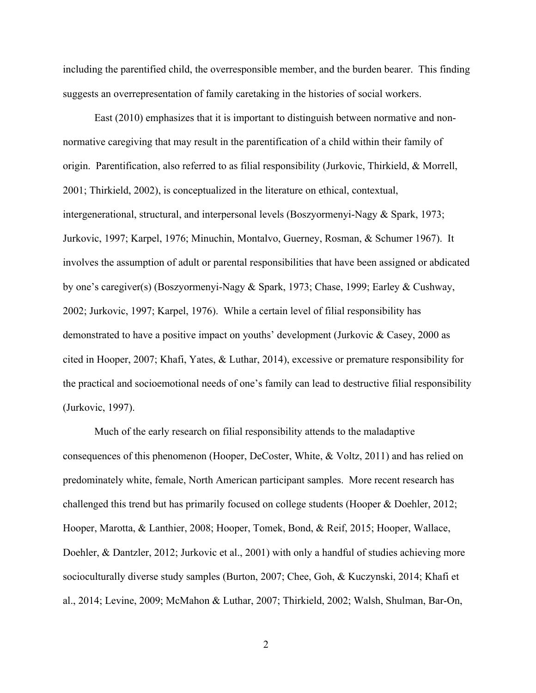including the parentified child, the overresponsible member, and the burden bearer. This finding suggests an overrepresentation of family caretaking in the histories of social workers.

East (2010) emphasizes that it is important to distinguish between normative and nonnormative caregiving that may result in the parentification of a child within their family of origin. Parentification, also referred to as filial responsibility (Jurkovic, Thirkield, & Morrell, 2001; Thirkield, 2002), is conceptualized in the literature on ethical, contextual, intergenerational, structural, and interpersonal levels (Boszyormenyi-Nagy & Spark, 1973; Jurkovic, 1997; Karpel, 1976; Minuchin, Montalvo, Guerney, Rosman, & Schumer 1967). It involves the assumption of adult or parental responsibilities that have been assigned or abdicated by one's caregiver(s) (Boszyormenyi-Nagy & Spark, 1973; Chase, 1999; Earley & Cushway, 2002; Jurkovic, 1997; Karpel, 1976). While a certain level of filial responsibility has demonstrated to have a positive impact on youths' development (Jurkovic & Casey, 2000 as cited in Hooper, 2007; Khafi, Yates, & Luthar, 2014), excessive or premature responsibility for the practical and socioemotional needs of one's family can lead to destructive filial responsibility (Jurkovic, 1997).

Much of the early research on filial responsibility attends to the maladaptive consequences of this phenomenon (Hooper, DeCoster, White, & Voltz, 2011) and has relied on predominately white, female, North American participant samples. More recent research has challenged this trend but has primarily focused on college students (Hooper & Doehler, 2012; Hooper, Marotta, & Lanthier, 2008; Hooper, Tomek, Bond, & Reif, 2015; Hooper, Wallace, Doehler, & Dantzler, 2012; Jurkovic et al., 2001) with only a handful of studies achieving more socioculturally diverse study samples (Burton, 2007; Chee, Goh, & Kuczynski, 2014; Khafi et al., 2014; Levine, 2009; McMahon & Luthar, 2007; Thirkield, 2002; Walsh, Shulman, Bar-On,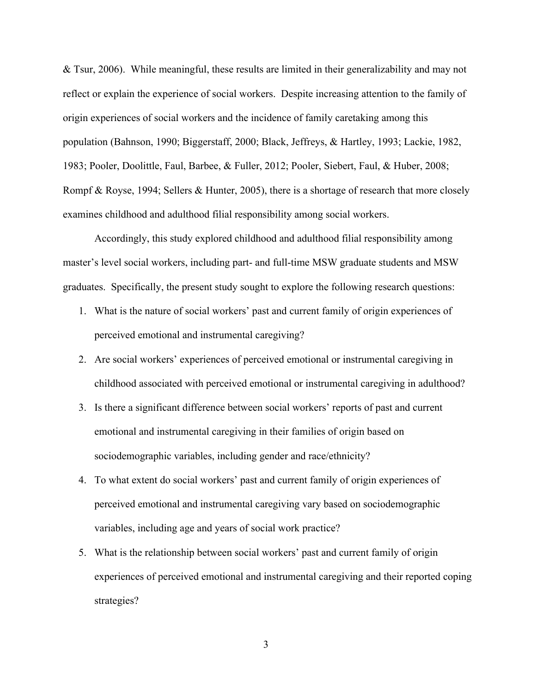& Tsur, 2006). While meaningful, these results are limited in their generalizability and may not reflect or explain the experience of social workers. Despite increasing attention to the family of origin experiences of social workers and the incidence of family caretaking among this population (Bahnson, 1990; Biggerstaff, 2000; Black, Jeffreys, & Hartley, 1993; Lackie, 1982, 1983; Pooler, Doolittle, Faul, Barbee, & Fuller, 2012; Pooler, Siebert, Faul, & Huber, 2008; Rompf & Royse, 1994; Sellers & Hunter, 2005), there is a shortage of research that more closely examines childhood and adulthood filial responsibility among social workers.

Accordingly, this study explored childhood and adulthood filial responsibility among master's level social workers, including part- and full-time MSW graduate students and MSW graduates. Specifically, the present study sought to explore the following research questions:

- 1. What is the nature of social workers' past and current family of origin experiences of perceived emotional and instrumental caregiving?
- 2. Are social workers' experiences of perceived emotional or instrumental caregiving in childhood associated with perceived emotional or instrumental caregiving in adulthood?
- 3. Is there a significant difference between social workers' reports of past and current emotional and instrumental caregiving in their families of origin based on sociodemographic variables, including gender and race/ethnicity?
- 4. To what extent do social workers' past and current family of origin experiences of perceived emotional and instrumental caregiving vary based on sociodemographic variables, including age and years of social work practice?
- 5. What is the relationship between social workers' past and current family of origin experiences of perceived emotional and instrumental caregiving and their reported coping strategies?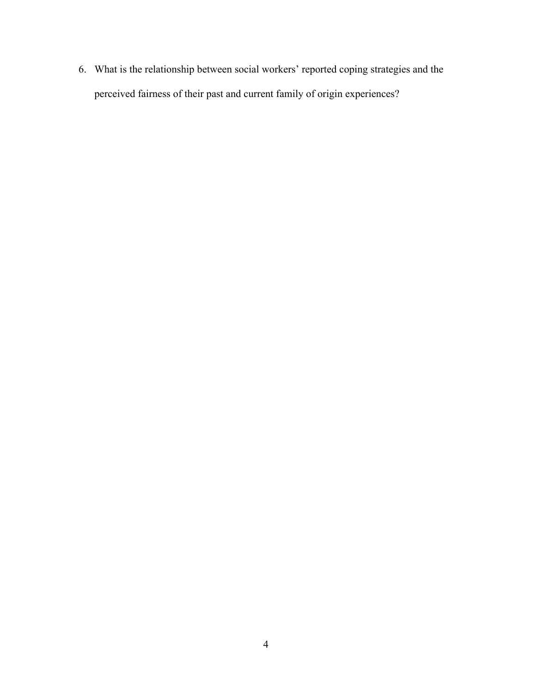6. What is the relationship between social workers' reported coping strategies and the perceived fairness of their past and current family of origin experiences?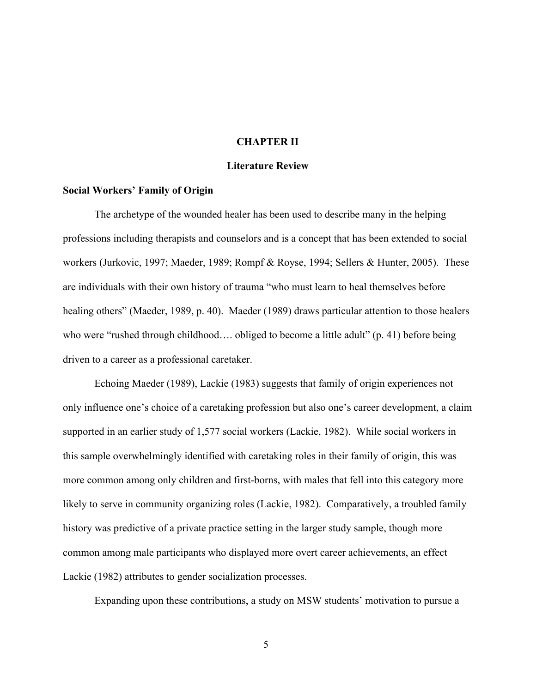#### **CHAPTER II**

#### **Literature Review**

#### **Social Workers' Family of Origin**

The archetype of the wounded healer has been used to describe many in the helping professions including therapists and counselors and is a concept that has been extended to social workers (Jurkovic, 1997; Maeder, 1989; Rompf & Royse, 1994; Sellers & Hunter, 2005). These are individuals with their own history of trauma "who must learn to heal themselves before healing others" (Maeder, 1989, p. 40). Maeder (1989) draws particular attention to those healers who were "rushed through childhood.... obliged to become a little adult" (p. 41) before being driven to a career as a professional caretaker.

Echoing Maeder (1989), Lackie (1983) suggests that family of origin experiences not only influence one's choice of a caretaking profession but also one's career development, a claim supported in an earlier study of 1,577 social workers (Lackie, 1982). While social workers in this sample overwhelmingly identified with caretaking roles in their family of origin, this was more common among only children and first-borns, with males that fell into this category more likely to serve in community organizing roles (Lackie, 1982). Comparatively, a troubled family history was predictive of a private practice setting in the larger study sample, though more common among male participants who displayed more overt career achievements, an effect Lackie (1982) attributes to gender socialization processes.

Expanding upon these contributions, a study on MSW students' motivation to pursue a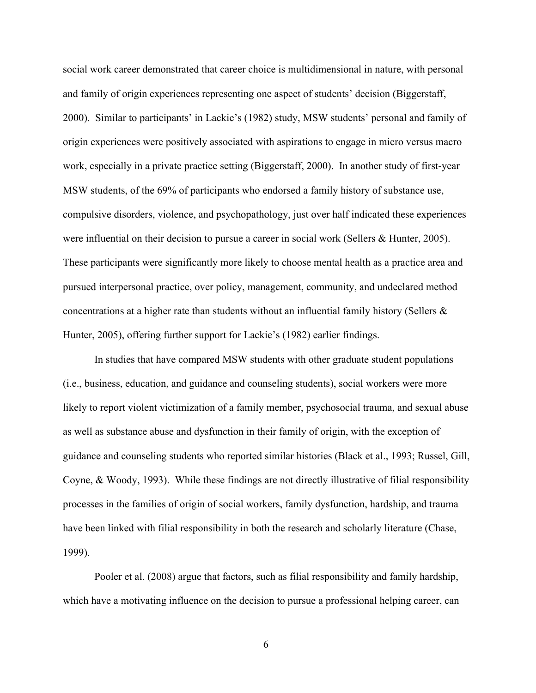social work career demonstrated that career choice is multidimensional in nature, with personal and family of origin experiences representing one aspect of students' decision (Biggerstaff, 2000). Similar to participants' in Lackie's (1982) study, MSW students' personal and family of origin experiences were positively associated with aspirations to engage in micro versus macro work, especially in a private practice setting (Biggerstaff, 2000). In another study of first-year MSW students, of the 69% of participants who endorsed a family history of substance use, compulsive disorders, violence, and psychopathology, just over half indicated these experiences were influential on their decision to pursue a career in social work (Sellers & Hunter, 2005). These participants were significantly more likely to choose mental health as a practice area and pursued interpersonal practice, over policy, management, community, and undeclared method concentrations at a higher rate than students without an influential family history (Sellers  $\&$ Hunter, 2005), offering further support for Lackie's (1982) earlier findings.

In studies that have compared MSW students with other graduate student populations (i.e., business, education, and guidance and counseling students), social workers were more likely to report violent victimization of a family member, psychosocial trauma, and sexual abuse as well as substance abuse and dysfunction in their family of origin, with the exception of guidance and counseling students who reported similar histories (Black et al., 1993; Russel, Gill, Coyne, & Woody, 1993). While these findings are not directly illustrative of filial responsibility processes in the families of origin of social workers, family dysfunction, hardship, and trauma have been linked with filial responsibility in both the research and scholarly literature (Chase, 1999).

Pooler et al. (2008) argue that factors, such as filial responsibility and family hardship, which have a motivating influence on the decision to pursue a professional helping career, can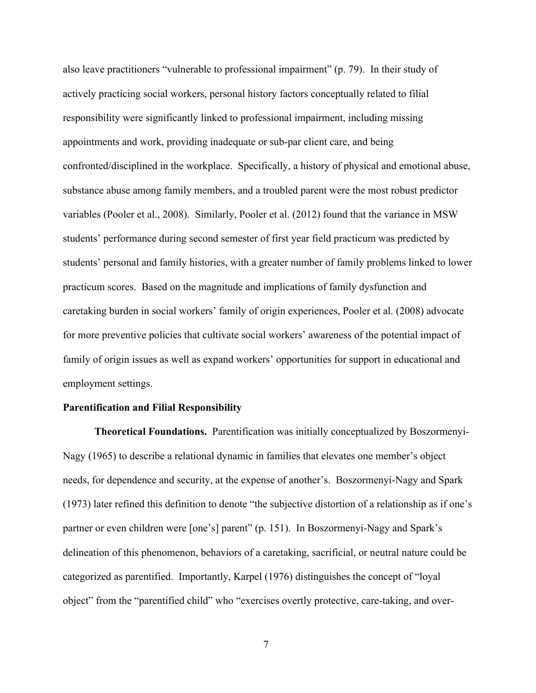also leave practitioners "vulnerable to professional impairment" (p. 79). In their study of actively practicing social workers, personal history factors conceptually related to filial responsibility were significantly linked to professional impairment, including missing appointments and work, providing inadequate or sub-par client care, and being confronted/disciplined in the workplace. Specifically, a history of physical and emotional abuse, substance abuse among family members, and a troubled parent were the most robust predictor variables (Pooler et al., 2008). Similarly, Pooler et al. (2012) found that the variance in MSW students' performance during second semester of first year field practicum was predicted by students' personal and family histories, with a greater number of family problems linked to lower practicum scores. Based on the magnitude and implications of family dysfunction and caretaking burden in social workers' family of origin experiences, Pooler et al. (2008) advocate for more preventive policies that cultivate social workers' awareness of the potential impact of family of origin issues as well as expand workers' opportunities for support in educational and employment settings.

#### **Parentification and Filial Responsibility**

**Theoretical Foundations.** Parentification was initially conceptualized by Boszormenyi-Nagy (1965) to describe a relational dynamic in families that elevates one member's object needs, for dependence and security, at the expense of another's. Boszormenyi-Nagy and Spark (1973) later refined this definition to denote "the subjective distortion of a relationship as if one's partner or even children were [one's] parent" (p. 151). In Boszormenyi-Nagy and Spark's delineation of this phenomenon, behaviors of a caretaking, sacrificial, or neutral nature could be categorized as parentified. Importantly, Karpel (1976) distinguishes the concept of "loyal object" from the "parentified child" who "exercises overtly protective, care-taking, and over-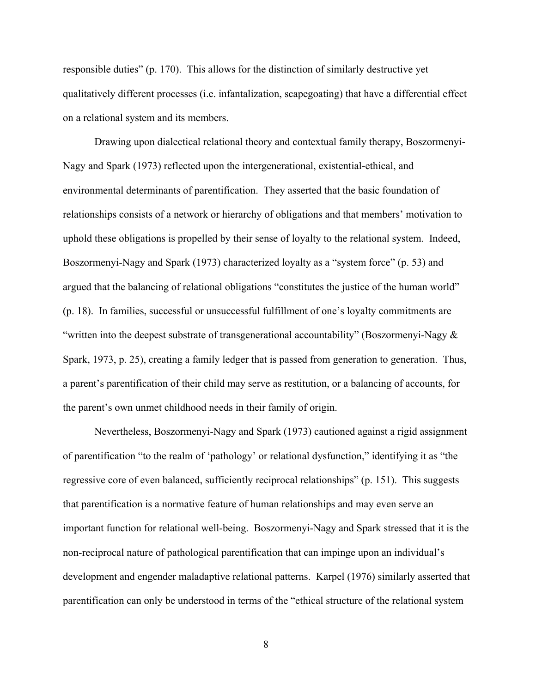responsible duties" (p. 170). This allows for the distinction of similarly destructive yet qualitatively different processes (i.e. infantalization, scapegoating) that have a differential effect on a relational system and its members.

Drawing upon dialectical relational theory and contextual family therapy, Boszormenyi-Nagy and Spark (1973) reflected upon the intergenerational, existential-ethical, and environmental determinants of parentification. They asserted that the basic foundation of relationships consists of a network or hierarchy of obligations and that members' motivation to uphold these obligations is propelled by their sense of loyalty to the relational system. Indeed, Boszormenyi-Nagy and Spark (1973) characterized loyalty as a "system force" (p. 53) and argued that the balancing of relational obligations "constitutes the justice of the human world" (p. 18). In families, successful or unsuccessful fulfillment of one's loyalty commitments are "written into the deepest substrate of transgenerational accountability" (Boszormenyi-Nagy  $\&$ Spark, 1973, p. 25), creating a family ledger that is passed from generation to generation. Thus, a parent's parentification of their child may serve as restitution, or a balancing of accounts, for the parent's own unmet childhood needs in their family of origin.

Nevertheless, Boszormenyi-Nagy and Spark (1973) cautioned against a rigid assignment of parentification "to the realm of 'pathology' or relational dysfunction," identifying it as "the regressive core of even balanced, sufficiently reciprocal relationships" (p. 151). This suggests that parentification is a normative feature of human relationships and may even serve an important function for relational well-being. Boszormenyi-Nagy and Spark stressed that it is the non-reciprocal nature of pathological parentification that can impinge upon an individual's development and engender maladaptive relational patterns. Karpel (1976) similarly asserted that parentification can only be understood in terms of the "ethical structure of the relational system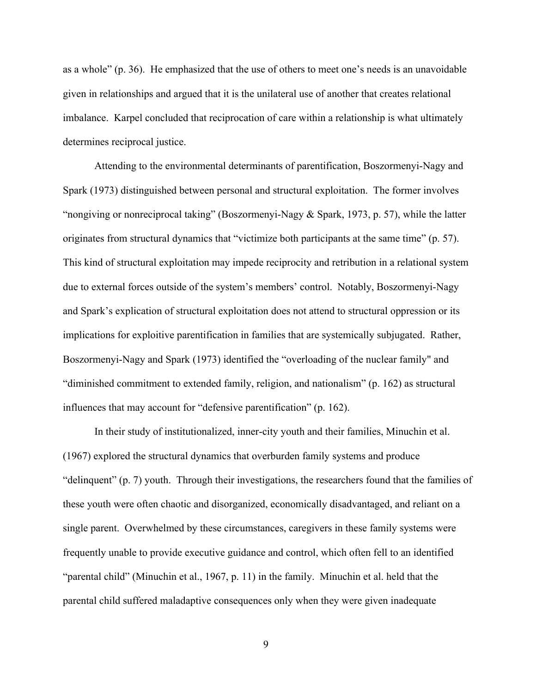as a whole" (p. 36). He emphasized that the use of others to meet one's needs is an unavoidable given in relationships and argued that it is the unilateral use of another that creates relational imbalance. Karpel concluded that reciprocation of care within a relationship is what ultimately determines reciprocal justice.

Attending to the environmental determinants of parentification, Boszormenyi-Nagy and Spark (1973) distinguished between personal and structural exploitation. The former involves "nongiving or nonreciprocal taking" (Boszormenyi-Nagy  $&$  Spark, 1973, p. 57), while the latter originates from structural dynamics that "victimize both participants at the same time" (p. 57). This kind of structural exploitation may impede reciprocity and retribution in a relational system due to external forces outside of the system's members' control. Notably, Boszormenyi-Nagy and Spark's explication of structural exploitation does not attend to structural oppression or its implications for exploitive parentification in families that are systemically subjugated. Rather, Boszormenyi-Nagy and Spark (1973) identified the "overloading of the nuclear family" and "diminished commitment to extended family, religion, and nationalism" (p. 162) as structural influences that may account for "defensive parentification" (p. 162).

In their study of institutionalized, inner-city youth and their families, Minuchin et al. (1967) explored the structural dynamics that overburden family systems and produce "delinquent" (p. 7) youth. Through their investigations, the researchers found that the families of these youth were often chaotic and disorganized, economically disadvantaged, and reliant on a single parent. Overwhelmed by these circumstances, caregivers in these family systems were frequently unable to provide executive guidance and control, which often fell to an identified "parental child" (Minuchin et al., 1967, p. 11) in the family. Minuchin et al. held that the parental child suffered maladaptive consequences only when they were given inadequate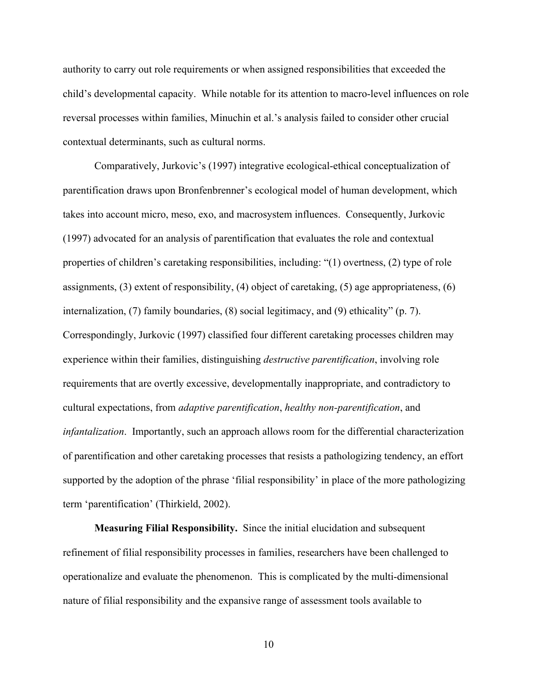authority to carry out role requirements or when assigned responsibilities that exceeded the child's developmental capacity. While notable for its attention to macro-level influences on role reversal processes within families, Minuchin et al.'s analysis failed to consider other crucial contextual determinants, such as cultural norms.

Comparatively, Jurkovic's (1997) integrative ecological-ethical conceptualization of parentification draws upon Bronfenbrenner's ecological model of human development, which takes into account micro, meso, exo, and macrosystem influences. Consequently, Jurkovic (1997) advocated for an analysis of parentification that evaluates the role and contextual properties of children's caretaking responsibilities, including: "(1) overtness, (2) type of role assignments, (3) extent of responsibility, (4) object of caretaking, (5) age appropriateness, (6) internalization, (7) family boundaries, (8) social legitimacy, and (9) ethicality" (p. 7). Correspondingly, Jurkovic (1997) classified four different caretaking processes children may experience within their families, distinguishing *destructive parentification*, involving role requirements that are overtly excessive, developmentally inappropriate, and contradictory to cultural expectations, from *adaptive parentification*, *healthy non-parentification*, and *infantalization*. Importantly, such an approach allows room for the differential characterization of parentification and other caretaking processes that resists a pathologizing tendency, an effort supported by the adoption of the phrase 'filial responsibility' in place of the more pathologizing term 'parentification' (Thirkield, 2002).

**Measuring Filial Responsibility.** Since the initial elucidation and subsequent refinement of filial responsibility processes in families, researchers have been challenged to operationalize and evaluate the phenomenon. This is complicated by the multi-dimensional nature of filial responsibility and the expansive range of assessment tools available to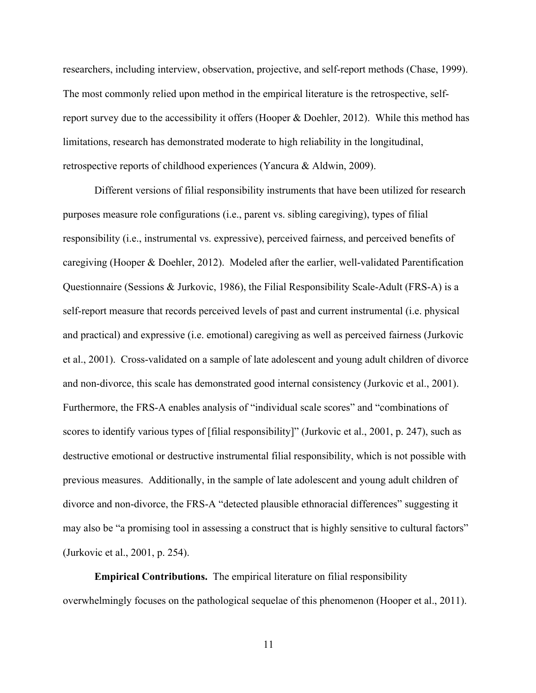researchers, including interview, observation, projective, and self-report methods (Chase, 1999). The most commonly relied upon method in the empirical literature is the retrospective, selfreport survey due to the accessibility it offers (Hooper  $\&$  Doehler, 2012). While this method has limitations, research has demonstrated moderate to high reliability in the longitudinal, retrospective reports of childhood experiences (Yancura & Aldwin, 2009).

Different versions of filial responsibility instruments that have been utilized for research purposes measure role configurations (i.e., parent vs. sibling caregiving), types of filial responsibility (i.e., instrumental vs. expressive), perceived fairness, and perceived benefits of caregiving (Hooper & Doehler, 2012). Modeled after the earlier, well-validated Parentification Questionnaire (Sessions & Jurkovic, 1986), the Filial Responsibility Scale-Adult (FRS-A) is a self-report measure that records perceived levels of past and current instrumental (i.e. physical and practical) and expressive (i.e. emotional) caregiving as well as perceived fairness (Jurkovic et al., 2001). Cross-validated on a sample of late adolescent and young adult children of divorce and non-divorce, this scale has demonstrated good internal consistency (Jurkovic et al., 2001). Furthermore, the FRS-A enables analysis of "individual scale scores" and "combinations of scores to identify various types of [filial responsibility]" (Jurkovic et al., 2001, p. 247), such as destructive emotional or destructive instrumental filial responsibility, which is not possible with previous measures. Additionally, in the sample of late adolescent and young adult children of divorce and non-divorce, the FRS-A "detected plausible ethnoracial differences" suggesting it may also be "a promising tool in assessing a construct that is highly sensitive to cultural factors" (Jurkovic et al., 2001, p. 254).

**Empirical Contributions.** The empirical literature on filial responsibility overwhelmingly focuses on the pathological sequelae of this phenomenon (Hooper et al., 2011).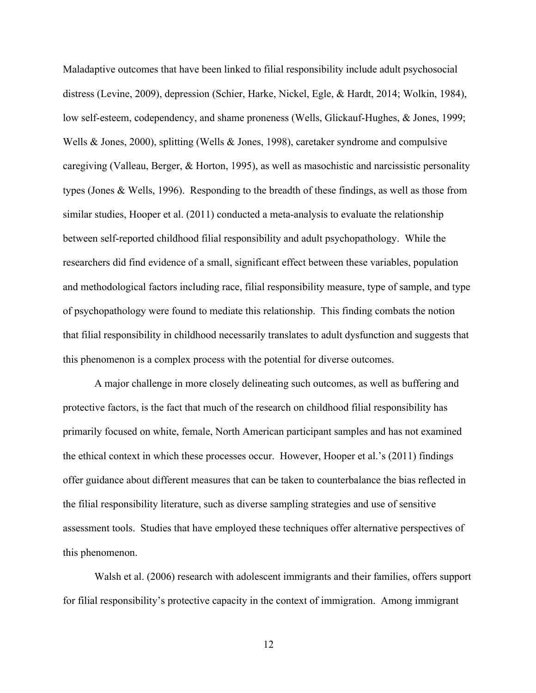Maladaptive outcomes that have been linked to filial responsibility include adult psychosocial distress (Levine, 2009), depression (Schier, Harke, Nickel, Egle, & Hardt, 2014; Wolkin, 1984), low self-esteem, codependency, and shame proneness (Wells, Glickauf-Hughes, & Jones, 1999; Wells & Jones, 2000), splitting (Wells & Jones, 1998), caretaker syndrome and compulsive caregiving (Valleau, Berger, & Horton, 1995), as well as masochistic and narcissistic personality types (Jones & Wells, 1996). Responding to the breadth of these findings, as well as those from similar studies, Hooper et al. (2011) conducted a meta-analysis to evaluate the relationship between self-reported childhood filial responsibility and adult psychopathology. While the researchers did find evidence of a small, significant effect between these variables, population and methodological factors including race, filial responsibility measure, type of sample, and type of psychopathology were found to mediate this relationship. This finding combats the notion that filial responsibility in childhood necessarily translates to adult dysfunction and suggests that this phenomenon is a complex process with the potential for diverse outcomes.

A major challenge in more closely delineating such outcomes, as well as buffering and protective factors, is the fact that much of the research on childhood filial responsibility has primarily focused on white, female, North American participant samples and has not examined the ethical context in which these processes occur. However, Hooper et al.'s (2011) findings offer guidance about different measures that can be taken to counterbalance the bias reflected in the filial responsibility literature, such as diverse sampling strategies and use of sensitive assessment tools. Studies that have employed these techniques offer alternative perspectives of this phenomenon.

Walsh et al. (2006) research with adolescent immigrants and their families, offers support for filial responsibility's protective capacity in the context of immigration. Among immigrant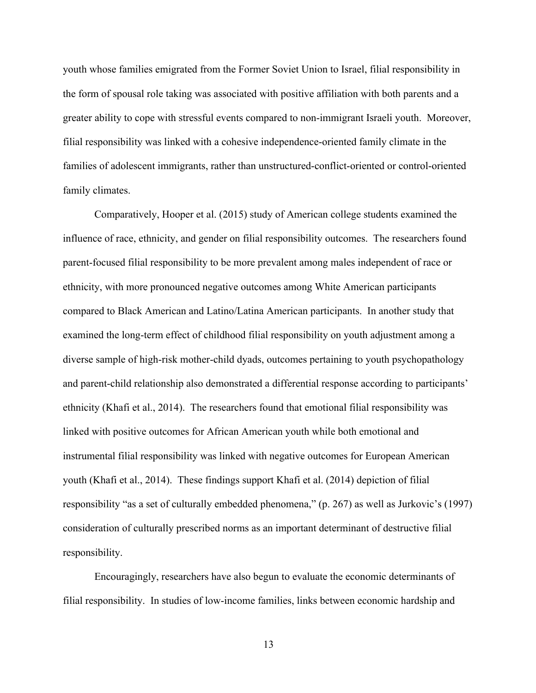youth whose families emigrated from the Former Soviet Union to Israel, filial responsibility in the form of spousal role taking was associated with positive affiliation with both parents and a greater ability to cope with stressful events compared to non-immigrant Israeli youth. Moreover, filial responsibility was linked with a cohesive independence-oriented family climate in the families of adolescent immigrants, rather than unstructured-conflict-oriented or control-oriented family climates.

Comparatively, Hooper et al. (2015) study of American college students examined the influence of race, ethnicity, and gender on filial responsibility outcomes. The researchers found parent-focused filial responsibility to be more prevalent among males independent of race or ethnicity, with more pronounced negative outcomes among White American participants compared to Black American and Latino/Latina American participants. In another study that examined the long-term effect of childhood filial responsibility on youth adjustment among a diverse sample of high-risk mother-child dyads, outcomes pertaining to youth psychopathology and parent-child relationship also demonstrated a differential response according to participants' ethnicity (Khafi et al., 2014). The researchers found that emotional filial responsibility was linked with positive outcomes for African American youth while both emotional and instrumental filial responsibility was linked with negative outcomes for European American youth (Khafi et al., 2014). These findings support Khafi et al. (2014) depiction of filial responsibility "as a set of culturally embedded phenomena," (p. 267) as well as Jurkovic's (1997) consideration of culturally prescribed norms as an important determinant of destructive filial responsibility.

Encouragingly, researchers have also begun to evaluate the economic determinants of filial responsibility. In studies of low-income families, links between economic hardship and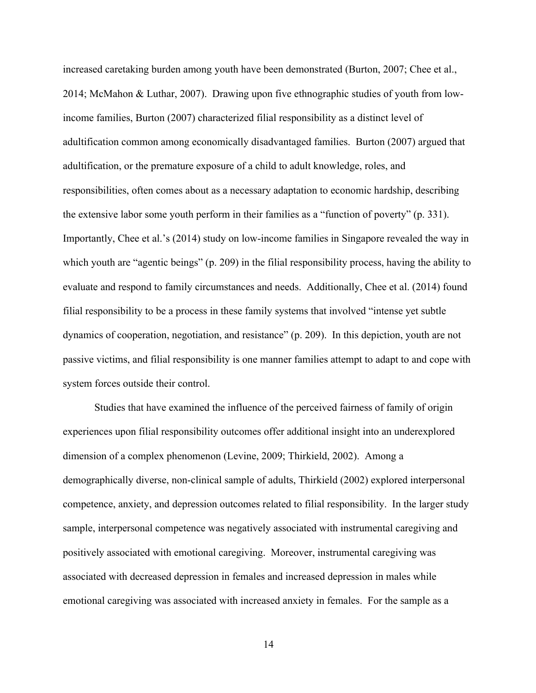increased caretaking burden among youth have been demonstrated (Burton, 2007; Chee et al., 2014; McMahon & Luthar, 2007). Drawing upon five ethnographic studies of youth from lowincome families, Burton (2007) characterized filial responsibility as a distinct level of adultification common among economically disadvantaged families. Burton (2007) argued that adultification, or the premature exposure of a child to adult knowledge, roles, and responsibilities, often comes about as a necessary adaptation to economic hardship, describing the extensive labor some youth perform in their families as a "function of poverty" (p. 331). Importantly, Chee et al.'s (2014) study on low-income families in Singapore revealed the way in which youth are "agentic beings" (p. 209) in the filial responsibility process, having the ability to evaluate and respond to family circumstances and needs. Additionally, Chee et al. (2014) found filial responsibility to be a process in these family systems that involved "intense yet subtle dynamics of cooperation, negotiation, and resistance" (p. 209). In this depiction, youth are not passive victims, and filial responsibility is one manner families attempt to adapt to and cope with system forces outside their control.

Studies that have examined the influence of the perceived fairness of family of origin experiences upon filial responsibility outcomes offer additional insight into an underexplored dimension of a complex phenomenon (Levine, 2009; Thirkield, 2002). Among a demographically diverse, non-clinical sample of adults, Thirkield (2002) explored interpersonal competence, anxiety, and depression outcomes related to filial responsibility. In the larger study sample, interpersonal competence was negatively associated with instrumental caregiving and positively associated with emotional caregiving. Moreover, instrumental caregiving was associated with decreased depression in females and increased depression in males while emotional caregiving was associated with increased anxiety in females. For the sample as a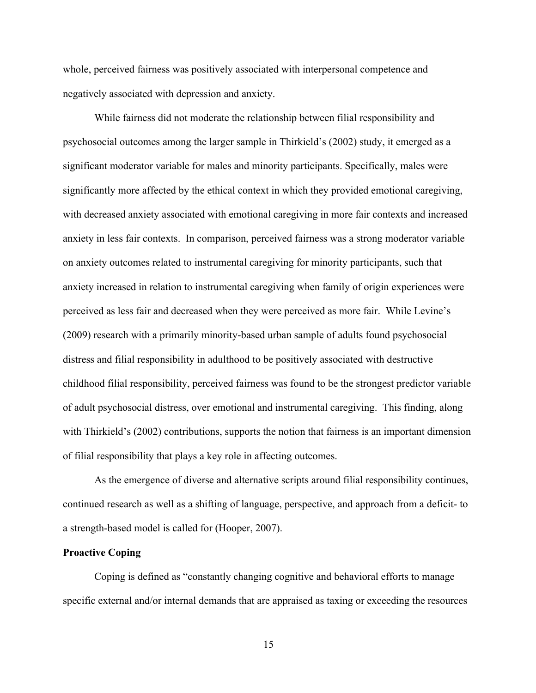whole, perceived fairness was positively associated with interpersonal competence and negatively associated with depression and anxiety.

While fairness did not moderate the relationship between filial responsibility and psychosocial outcomes among the larger sample in Thirkield's (2002) study, it emerged as a significant moderator variable for males and minority participants. Specifically, males were significantly more affected by the ethical context in which they provided emotional caregiving, with decreased anxiety associated with emotional caregiving in more fair contexts and increased anxiety in less fair contexts. In comparison, perceived fairness was a strong moderator variable on anxiety outcomes related to instrumental caregiving for minority participants, such that anxiety increased in relation to instrumental caregiving when family of origin experiences were perceived as less fair and decreased when they were perceived as more fair. While Levine's (2009) research with a primarily minority-based urban sample of adults found psychosocial distress and filial responsibility in adulthood to be positively associated with destructive childhood filial responsibility, perceived fairness was found to be the strongest predictor variable of adult psychosocial distress, over emotional and instrumental caregiving. This finding, along with Thirkield's (2002) contributions, supports the notion that fairness is an important dimension of filial responsibility that plays a key role in affecting outcomes.

As the emergence of diverse and alternative scripts around filial responsibility continues, continued research as well as a shifting of language, perspective, and approach from a deficit- to a strength-based model is called for (Hooper, 2007).

#### **Proactive Coping**

Coping is defined as "constantly changing cognitive and behavioral efforts to manage specific external and/or internal demands that are appraised as taxing or exceeding the resources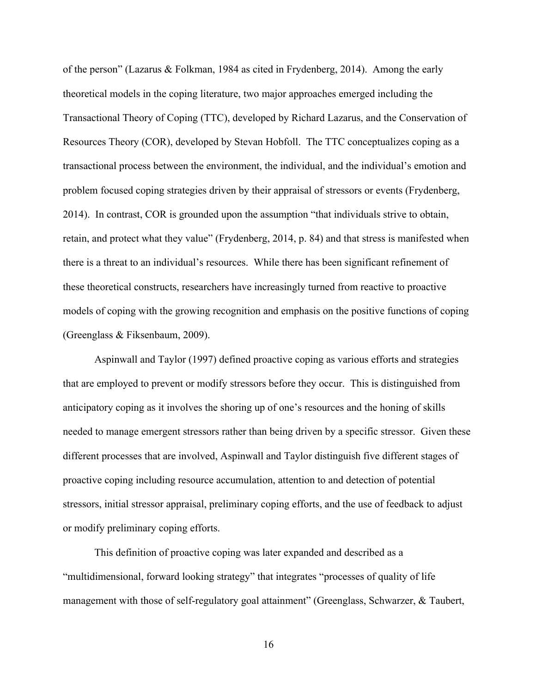of the person" (Lazarus & Folkman, 1984 as cited in Frydenberg, 2014). Among the early theoretical models in the coping literature, two major approaches emerged including the Transactional Theory of Coping (TTC), developed by Richard Lazarus, and the Conservation of Resources Theory (COR), developed by Stevan Hobfoll. The TTC conceptualizes coping as a transactional process between the environment, the individual, and the individual's emotion and problem focused coping strategies driven by their appraisal of stressors or events (Frydenberg, 2014). In contrast, COR is grounded upon the assumption "that individuals strive to obtain, retain, and protect what they value" (Frydenberg, 2014, p. 84) and that stress is manifested when there is a threat to an individual's resources. While there has been significant refinement of these theoretical constructs, researchers have increasingly turned from reactive to proactive models of coping with the growing recognition and emphasis on the positive functions of coping (Greenglass & Fiksenbaum, 2009).

Aspinwall and Taylor (1997) defined proactive coping as various efforts and strategies that are employed to prevent or modify stressors before they occur. This is distinguished from anticipatory coping as it involves the shoring up of one's resources and the honing of skills needed to manage emergent stressors rather than being driven by a specific stressor. Given these different processes that are involved, Aspinwall and Taylor distinguish five different stages of proactive coping including resource accumulation, attention to and detection of potential stressors, initial stressor appraisal, preliminary coping efforts, and the use of feedback to adjust or modify preliminary coping efforts.

This definition of proactive coping was later expanded and described as a "multidimensional, forward looking strategy" that integrates "processes of quality of life management with those of self-regulatory goal attainment" (Greenglass, Schwarzer, & Taubert,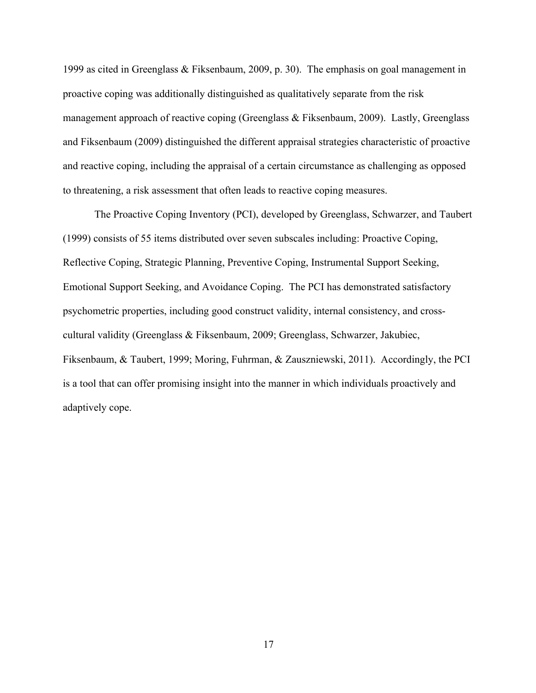1999 as cited in Greenglass & Fiksenbaum, 2009, p. 30). The emphasis on goal management in proactive coping was additionally distinguished as qualitatively separate from the risk management approach of reactive coping (Greenglass & Fiksenbaum, 2009). Lastly, Greenglass and Fiksenbaum (2009) distinguished the different appraisal strategies characteristic of proactive and reactive coping, including the appraisal of a certain circumstance as challenging as opposed to threatening, a risk assessment that often leads to reactive coping measures.

The Proactive Coping Inventory (PCI), developed by Greenglass, Schwarzer, and Taubert (1999) consists of 55 items distributed over seven subscales including: Proactive Coping, Reflective Coping, Strategic Planning, Preventive Coping, Instrumental Support Seeking, Emotional Support Seeking, and Avoidance Coping. The PCI has demonstrated satisfactory psychometric properties, including good construct validity, internal consistency, and crosscultural validity (Greenglass & Fiksenbaum, 2009; Greenglass, Schwarzer, Jakubiec, Fiksenbaum, & Taubert, 1999; Moring, Fuhrman, & Zauszniewski, 2011). Accordingly, the PCI is a tool that can offer promising insight into the manner in which individuals proactively and adaptively cope.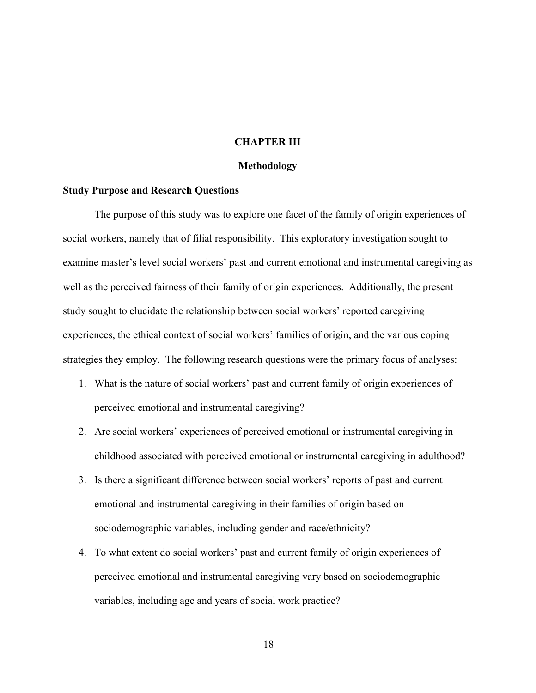#### **CHAPTER III**

#### **Methodology**

#### **Study Purpose and Research Questions**

The purpose of this study was to explore one facet of the family of origin experiences of social workers, namely that of filial responsibility. This exploratory investigation sought to examine master's level social workers' past and current emotional and instrumental caregiving as well as the perceived fairness of their family of origin experiences. Additionally, the present study sought to elucidate the relationship between social workers' reported caregiving experiences, the ethical context of social workers' families of origin, and the various coping strategies they employ. The following research questions were the primary focus of analyses:

- 1. What is the nature of social workers' past and current family of origin experiences of perceived emotional and instrumental caregiving?
- 2. Are social workers' experiences of perceived emotional or instrumental caregiving in childhood associated with perceived emotional or instrumental caregiving in adulthood?
- 3. Is there a significant difference between social workers' reports of past and current emotional and instrumental caregiving in their families of origin based on sociodemographic variables, including gender and race/ethnicity?
- 4. To what extent do social workers' past and current family of origin experiences of perceived emotional and instrumental caregiving vary based on sociodemographic variables, including age and years of social work practice?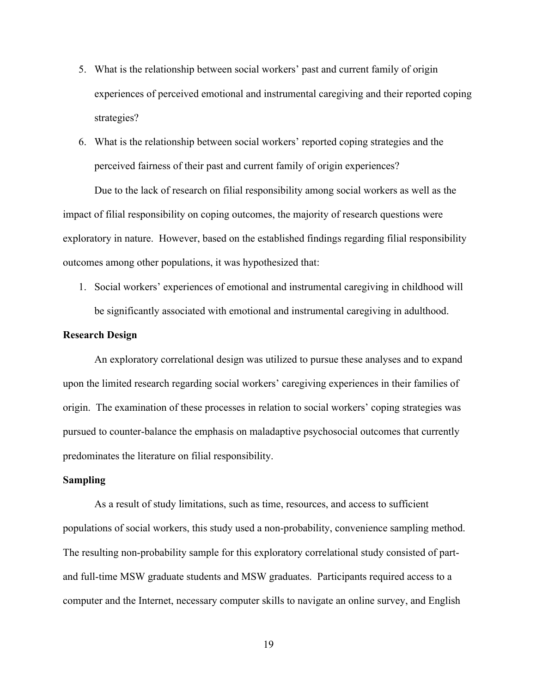- 5. What is the relationship between social workers' past and current family of origin experiences of perceived emotional and instrumental caregiving and their reported coping strategies?
- 6. What is the relationship between social workers' reported coping strategies and the perceived fairness of their past and current family of origin experiences?

Due to the lack of research on filial responsibility among social workers as well as the impact of filial responsibility on coping outcomes, the majority of research questions were exploratory in nature. However, based on the established findings regarding filial responsibility outcomes among other populations, it was hypothesized that:

1. Social workers' experiences of emotional and instrumental caregiving in childhood will be significantly associated with emotional and instrumental caregiving in adulthood.

#### **Research Design**

An exploratory correlational design was utilized to pursue these analyses and to expand upon the limited research regarding social workers' caregiving experiences in their families of origin. The examination of these processes in relation to social workers' coping strategies was pursued to counter-balance the emphasis on maladaptive psychosocial outcomes that currently predominates the literature on filial responsibility.

#### **Sampling**

As a result of study limitations, such as time, resources, and access to sufficient populations of social workers, this study used a non-probability, convenience sampling method. The resulting non-probability sample for this exploratory correlational study consisted of partand full-time MSW graduate students and MSW graduates. Participants required access to a computer and the Internet, necessary computer skills to navigate an online survey, and English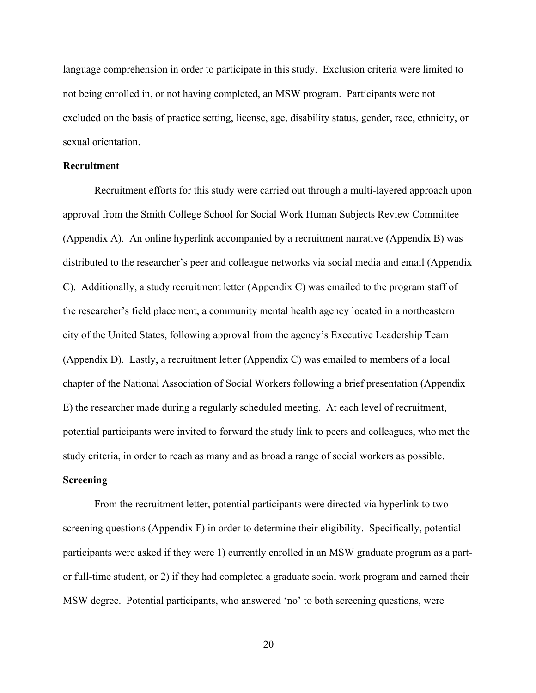language comprehension in order to participate in this study. Exclusion criteria were limited to not being enrolled in, or not having completed, an MSW program. Participants were not excluded on the basis of practice setting, license, age, disability status, gender, race, ethnicity, or sexual orientation.

#### **Recruitment**

Recruitment efforts for this study were carried out through a multi-layered approach upon approval from the Smith College School for Social Work Human Subjects Review Committee (Appendix A). An online hyperlink accompanied by a recruitment narrative (Appendix B) was distributed to the researcher's peer and colleague networks via social media and email (Appendix C). Additionally, a study recruitment letter (Appendix C) was emailed to the program staff of the researcher's field placement, a community mental health agency located in a northeastern city of the United States, following approval from the agency's Executive Leadership Team (Appendix D). Lastly, a recruitment letter (Appendix C) was emailed to members of a local chapter of the National Association of Social Workers following a brief presentation (Appendix E) the researcher made during a regularly scheduled meeting. At each level of recruitment, potential participants were invited to forward the study link to peers and colleagues, who met the study criteria, in order to reach as many and as broad a range of social workers as possible.

#### **Screening**

From the recruitment letter, potential participants were directed via hyperlink to two screening questions (Appendix F) in order to determine their eligibility. Specifically, potential participants were asked if they were 1) currently enrolled in an MSW graduate program as a partor full-time student, or 2) if they had completed a graduate social work program and earned their MSW degree. Potential participants, who answered 'no' to both screening questions, were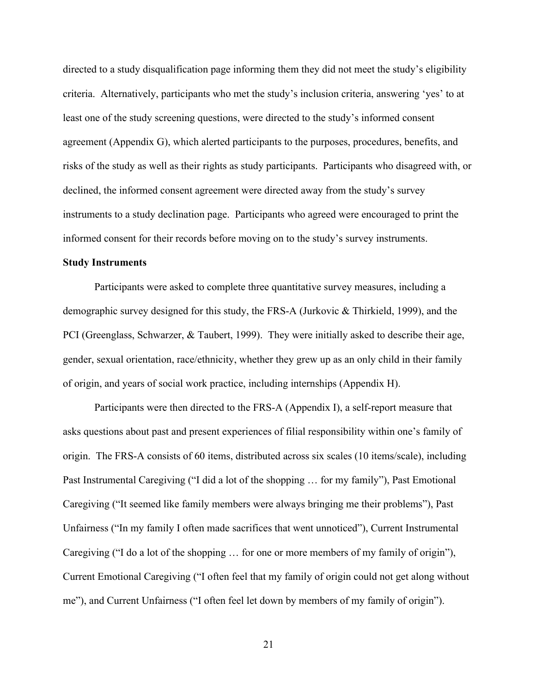directed to a study disqualification page informing them they did not meet the study's eligibility criteria. Alternatively, participants who met the study's inclusion criteria, answering 'yes' to at least one of the study screening questions, were directed to the study's informed consent agreement (Appendix G), which alerted participants to the purposes, procedures, benefits, and risks of the study as well as their rights as study participants. Participants who disagreed with, or declined, the informed consent agreement were directed away from the study's survey instruments to a study declination page. Participants who agreed were encouraged to print the informed consent for their records before moving on to the study's survey instruments.

#### **Study Instruments**

Participants were asked to complete three quantitative survey measures, including a demographic survey designed for this study, the FRS-A (Jurkovic & Thirkield, 1999), and the PCI (Greenglass, Schwarzer, & Taubert, 1999). They were initially asked to describe their age, gender, sexual orientation, race/ethnicity, whether they grew up as an only child in their family of origin, and years of social work practice, including internships (Appendix H).

Participants were then directed to the FRS-A (Appendix I), a self-report measure that asks questions about past and present experiences of filial responsibility within one's family of origin. The FRS-A consists of 60 items, distributed across six scales (10 items/scale), including Past Instrumental Caregiving ("I did a lot of the shopping … for my family"), Past Emotional Caregiving ("It seemed like family members were always bringing me their problems"), Past Unfairness ("In my family I often made sacrifices that went unnoticed"), Current Instrumental Caregiving ("I do a lot of the shopping … for one or more members of my family of origin"), Current Emotional Caregiving ("I often feel that my family of origin could not get along without me"), and Current Unfairness ("I often feel let down by members of my family of origin").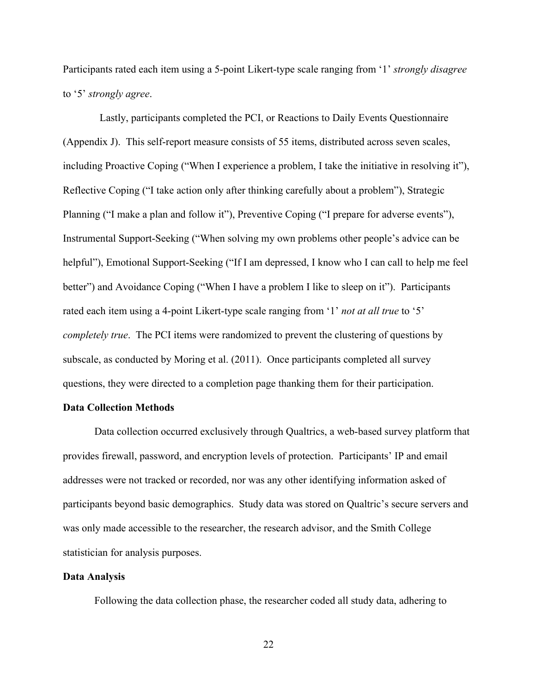Participants rated each item using a 5-point Likert-type scale ranging from '1' *strongly disagree* to '5' *strongly agree*.

 Lastly, participants completed the PCI, or Reactions to Daily Events Questionnaire (Appendix J). This self-report measure consists of 55 items, distributed across seven scales, including Proactive Coping ("When I experience a problem, I take the initiative in resolving it"), Reflective Coping ("I take action only after thinking carefully about a problem"), Strategic Planning ("I make a plan and follow it"), Preventive Coping ("I prepare for adverse events"), Instrumental Support-Seeking ("When solving my own problems other people's advice can be helpful"), Emotional Support-Seeking ("If I am depressed, I know who I can call to help me feel better") and Avoidance Coping ("When I have a problem I like to sleep on it"). Participants rated each item using a 4-point Likert-type scale ranging from '1' *not at all true* to '5' *completely true*. The PCI items were randomized to prevent the clustering of questions by subscale, as conducted by Moring et al. (2011). Once participants completed all survey questions, they were directed to a completion page thanking them for their participation.

#### **Data Collection Methods**

Data collection occurred exclusively through Qualtrics, a web-based survey platform that provides firewall, password, and encryption levels of protection. Participants' IP and email addresses were not tracked or recorded, nor was any other identifying information asked of participants beyond basic demographics. Study data was stored on Qualtric's secure servers and was only made accessible to the researcher, the research advisor, and the Smith College statistician for analysis purposes.

#### **Data Analysis**

Following the data collection phase, the researcher coded all study data, adhering to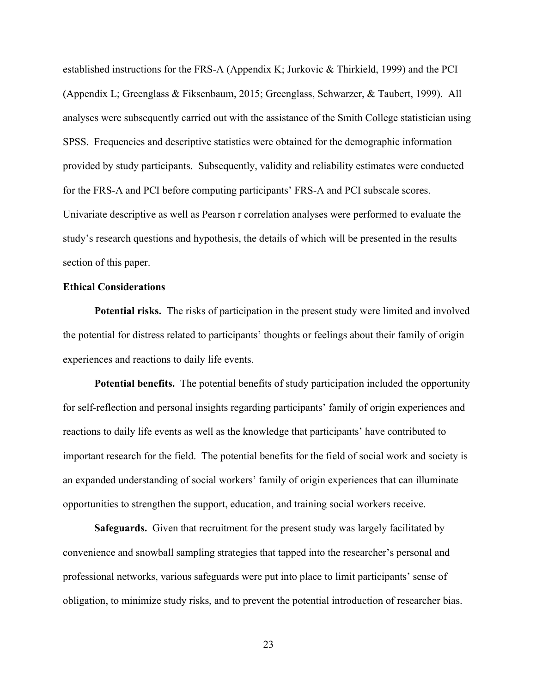established instructions for the FRS-A (Appendix K; Jurkovic & Thirkield, 1999) and the PCI (Appendix L; Greenglass & Fiksenbaum, 2015; Greenglass, Schwarzer, & Taubert, 1999). All analyses were subsequently carried out with the assistance of the Smith College statistician using SPSS. Frequencies and descriptive statistics were obtained for the demographic information provided by study participants. Subsequently, validity and reliability estimates were conducted for the FRS-A and PCI before computing participants' FRS-A and PCI subscale scores. Univariate descriptive as well as Pearson r correlation analyses were performed to evaluate the study's research questions and hypothesis, the details of which will be presented in the results section of this paper.

#### **Ethical Considerations**

**Potential risks.** The risks of participation in the present study were limited and involved the potential for distress related to participants' thoughts or feelings about their family of origin experiences and reactions to daily life events.

**Potential benefits.** The potential benefits of study participation included the opportunity for self-reflection and personal insights regarding participants' family of origin experiences and reactions to daily life events as well as the knowledge that participants' have contributed to important research for the field. The potential benefits for the field of social work and society is an expanded understanding of social workers' family of origin experiences that can illuminate opportunities to strengthen the support, education, and training social workers receive.

**Safeguards.** Given that recruitment for the present study was largely facilitated by convenience and snowball sampling strategies that tapped into the researcher's personal and professional networks, various safeguards were put into place to limit participants' sense of obligation, to minimize study risks, and to prevent the potential introduction of researcher bias.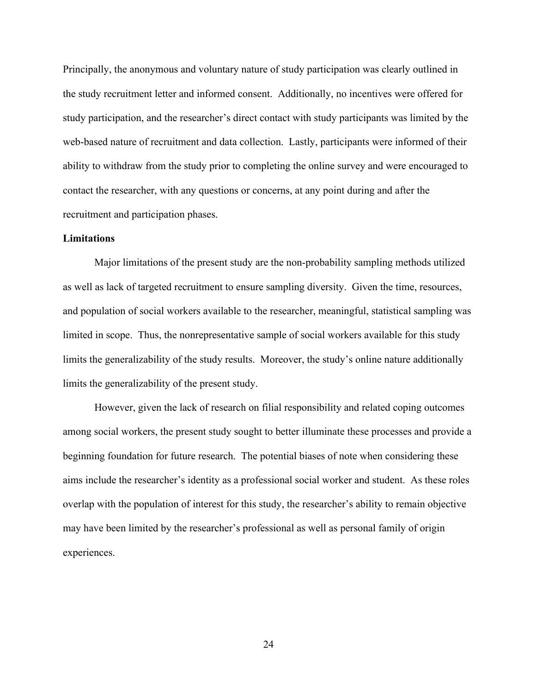Principally, the anonymous and voluntary nature of study participation was clearly outlined in the study recruitment letter and informed consent. Additionally, no incentives were offered for study participation, and the researcher's direct contact with study participants was limited by the web-based nature of recruitment and data collection. Lastly, participants were informed of their ability to withdraw from the study prior to completing the online survey and were encouraged to contact the researcher, with any questions or concerns, at any point during and after the recruitment and participation phases.

#### **Limitations**

Major limitations of the present study are the non-probability sampling methods utilized as well as lack of targeted recruitment to ensure sampling diversity. Given the time, resources, and population of social workers available to the researcher, meaningful, statistical sampling was limited in scope. Thus, the nonrepresentative sample of social workers available for this study limits the generalizability of the study results. Moreover, the study's online nature additionally limits the generalizability of the present study.

However, given the lack of research on filial responsibility and related coping outcomes among social workers, the present study sought to better illuminate these processes and provide a beginning foundation for future research. The potential biases of note when considering these aims include the researcher's identity as a professional social worker and student. As these roles overlap with the population of interest for this study, the researcher's ability to remain objective may have been limited by the researcher's professional as well as personal family of origin experiences.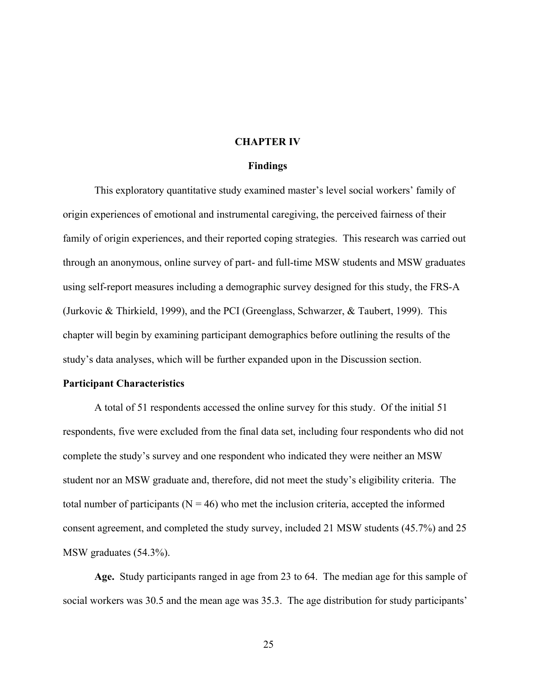#### **CHAPTER IV**

#### **Findings**

This exploratory quantitative study examined master's level social workers' family of origin experiences of emotional and instrumental caregiving, the perceived fairness of their family of origin experiences, and their reported coping strategies. This research was carried out through an anonymous, online survey of part- and full-time MSW students and MSW graduates using self-report measures including a demographic survey designed for this study, the FRS-A (Jurkovic & Thirkield, 1999), and the PCI (Greenglass, Schwarzer, & Taubert, 1999). This chapter will begin by examining participant demographics before outlining the results of the study's data analyses, which will be further expanded upon in the Discussion section.

#### **Participant Characteristics**

A total of 51 respondents accessed the online survey for this study. Of the initial 51 respondents, five were excluded from the final data set, including four respondents who did not complete the study's survey and one respondent who indicated they were neither an MSW student nor an MSW graduate and, therefore, did not meet the study's eligibility criteria. The total number of participants ( $N = 46$ ) who met the inclusion criteria, accepted the informed consent agreement, and completed the study survey, included 21 MSW students (45.7%) and 25 MSW graduates (54.3%).

**Age.** Study participants ranged in age from 23 to 64. The median age for this sample of social workers was 30.5 and the mean age was 35.3. The age distribution for study participants'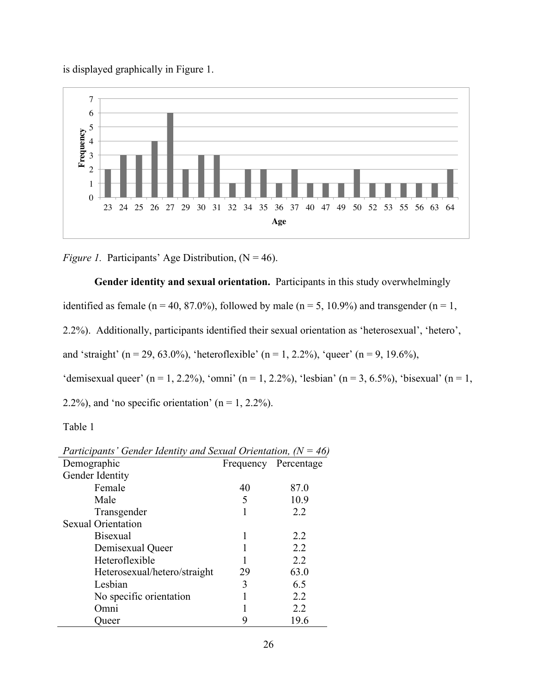is displayed graphically in Figure 1.



*Figure 1.* Participants' Age Distribution,  $(N = 46)$ .

**Gender identity and sexual orientation.** Participants in this study overwhelmingly

identified as female (n = 40, 87.0%), followed by male (n = 5, 10.9%) and transgender (n = 1,

2.2%). Additionally, participants identified their sexual orientation as 'heterosexual', 'hetero',

and 'straight' (n = 29, 63.0%), 'heteroflexible' (n = 1, 2.2%), 'queer' (n = 9, 19.6%),

'demisexual queer' (n = 1, 2.2%), 'omni' (n = 1, 2.2%), 'lesbian' (n = 3, 6.5%), 'bisexual' (n = 1,

2.2%), and 'no specific orientation' ( $n = 1, 2.2\%$ ).

Table 1

| Participants' Gender Identity and Sexual Orientation, ( $N = 46$ ) |    |                      |  |  |
|--------------------------------------------------------------------|----|----------------------|--|--|
| Demographic                                                        |    | Frequency Percentage |  |  |
| Gender Identity                                                    |    |                      |  |  |
| Female                                                             | 40 | 87.0                 |  |  |
| Male                                                               | 5  | 10.9                 |  |  |
| Transgender                                                        |    | 2.2                  |  |  |
| <b>Sexual Orientation</b>                                          |    |                      |  |  |
| <b>Bisexual</b>                                                    |    | 22                   |  |  |
| Demisexual Queer                                                   |    | 2.2                  |  |  |
| Heteroflexible                                                     |    | 2.2                  |  |  |
| Heterosexual/hetero/straight                                       | 29 | 63.0                 |  |  |
| Lesbian                                                            | 3  | 6.5                  |  |  |
| No specific orientation                                            |    | 2.2                  |  |  |
| Omni                                                               |    | 2.2                  |  |  |
| )ueer                                                              |    | 19.6                 |  |  |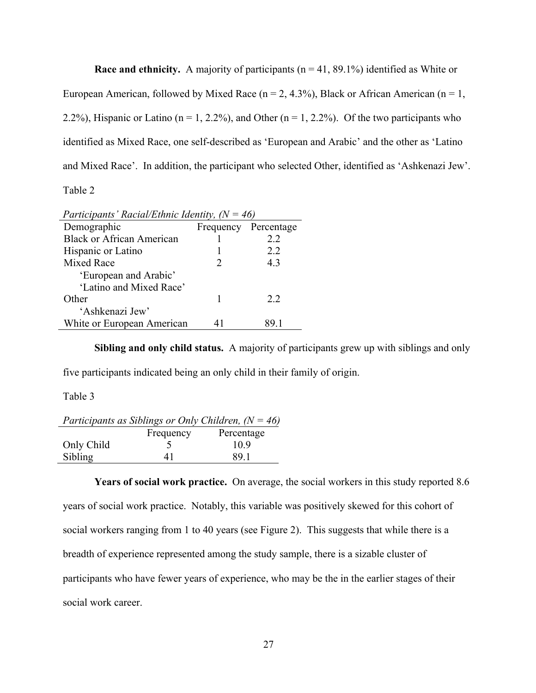**Race and ethnicity.** A majority of participants  $(n = 41, 89.1\%)$  identified as White or European American, followed by Mixed Race ( $n = 2, 4.3\%$ ), Black or African American ( $n = 1$ , 2.2%), Hispanic or Latino ( $n = 1, 2.2$ %), and Other ( $n = 1, 2.2$ %). Of the two participants who identified as Mixed Race, one self-described as 'European and Arabic' and the other as 'Latino and Mixed Race'. In addition, the participant who selected Other, identified as 'Ashkenazi Jew'. Table 2

| Participants' Racial/Ethnic Identity, $(N = 46)$ |    |                      |  |  |
|--------------------------------------------------|----|----------------------|--|--|
| Demographic                                      |    | Frequency Percentage |  |  |
| <b>Black or African American</b>                 |    | 22                   |  |  |
| Hispanic or Latino                               |    | 22                   |  |  |
| <b>Mixed Race</b>                                |    | 4.3                  |  |  |
| 'European and Arabic'                            |    |                      |  |  |
| 'Latino and Mixed Race'                          |    |                      |  |  |
| Other                                            |    | 2.2                  |  |  |
| 'Ashkenazi Jew'                                  |    |                      |  |  |
| White or European American                       | 41 | 89 I                 |  |  |
|                                                  |    |                      |  |  |

**Sibling and only child status.** A majority of participants grew up with siblings and only five participants indicated being an only child in their family of origin.

Table 3

| Participants as Siblings or Only Children, $(N = 46)$ |           |            |  |  |  |
|-------------------------------------------------------|-----------|------------|--|--|--|
|                                                       | Frequency | Percentage |  |  |  |
| Only Child                                            |           | 109        |  |  |  |
| Sibling                                               | 41        | 891        |  |  |  |

**Years of social work practice.** On average, the social workers in this study reported 8.6 years of social work practice. Notably, this variable was positively skewed for this cohort of social workers ranging from 1 to 40 years (see Figure 2). This suggests that while there is a breadth of experience represented among the study sample, there is a sizable cluster of participants who have fewer years of experience, who may be the in the earlier stages of their social work career.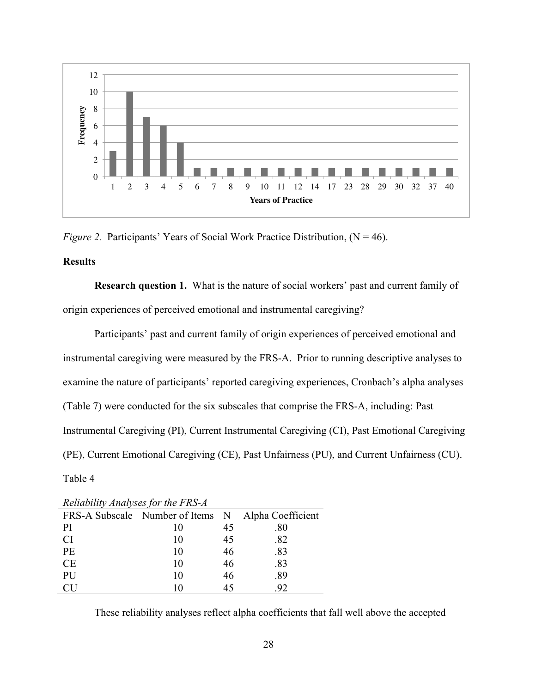

*Figure 2.* Participants' Years of Social Work Practice Distribution,  $(N = 46)$ .

#### **Results**

**Research question 1.** What is the nature of social workers' past and current family of origin experiences of perceived emotional and instrumental caregiving?

Participants' past and current family of origin experiences of perceived emotional and instrumental caregiving were measured by the FRS-A. Prior to running descriptive analyses to examine the nature of participants' reported caregiving experiences, Cronbach's alpha analyses (Table 7) were conducted for the six subscales that comprise the FRS-A, including: Past Instrumental Caregiving (PI), Current Instrumental Caregiving (CI), Past Emotional Caregiving (PE), Current Emotional Caregiving (CE), Past Unfairness (PU), and Current Unfairness (CU). Table 4

| <i>Renability married for the 1 RS 11</i> |    |    |                                                    |  |
|-------------------------------------------|----|----|----------------------------------------------------|--|
|                                           |    |    | FRS-A Subscale Number of Items N Alpha Coefficient |  |
| PI                                        | 10 | 45 | .80                                                |  |
| <b>CI</b>                                 | 10 | 45 | .82                                                |  |
| PE                                        | 10 | 46 | .83                                                |  |
| <b>CE</b>                                 | 10 | 46 | .83                                                |  |
| PU                                        | 10 | 46 | .89                                                |  |
|                                           | 10 | 45 | .92                                                |  |

*Reliability Analyses for the FRS-A*

These reliability analyses reflect alpha coefficients that fall well above the accepted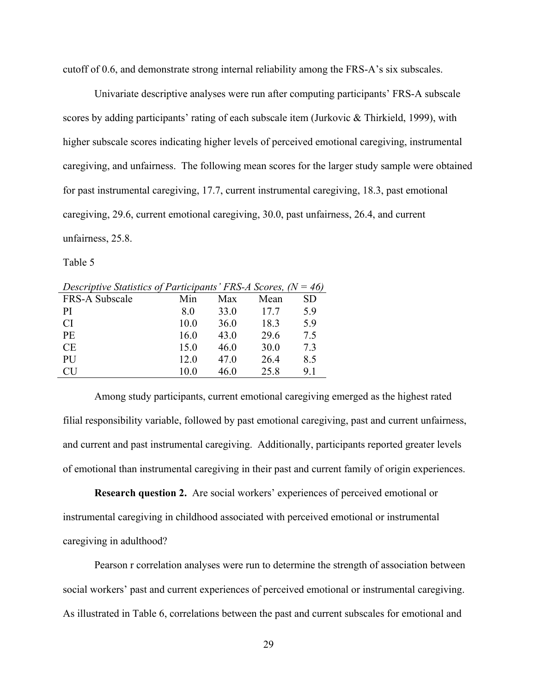cutoff of 0.6, and demonstrate strong internal reliability among the FRS-A's six subscales.

Univariate descriptive analyses were run after computing participants' FRS-A subscale scores by adding participants' rating of each subscale item (Jurkovic & Thirkield, 1999), with higher subscale scores indicating higher levels of perceived emotional caregiving, instrumental caregiving, and unfairness. The following mean scores for the larger study sample were obtained for past instrumental caregiving, 17.7, current instrumental caregiving, 18.3, past emotional caregiving, 29.6, current emotional caregiving, 30.0, past unfairness, 26.4, and current unfairness, 25.8.

Table 5

| Descriptive Statistics of Participants' FRS-A Scores, $(N = 46)$ |      |      |      |           |  |  |
|------------------------------------------------------------------|------|------|------|-----------|--|--|
| FRS-A Subscale                                                   | Min  | Max  | Mean | <b>SD</b> |  |  |
| PI.                                                              | 8.0  | 33.0 | 177  | 5.9       |  |  |
| <b>CI</b>                                                        | 10.0 | 36.0 | 18.3 | 5.9       |  |  |
| <b>PE</b>                                                        | 16.0 | 43.0 | 29.6 | 7.5       |  |  |
| <b>CE</b>                                                        | 15.0 | 46.0 | 30.0 | 7.3       |  |  |
| <b>PU</b>                                                        | 12.0 | 47.0 | 26.4 | 8.5       |  |  |
| CU                                                               | 10.0 | 46.0 | 25.8 | 9.1       |  |  |

*Descriptive Statistics of Participants' FRS-A Scores, (N = 46)*

Among study participants, current emotional caregiving emerged as the highest rated filial responsibility variable, followed by past emotional caregiving, past and current unfairness, and current and past instrumental caregiving. Additionally, participants reported greater levels of emotional than instrumental caregiving in their past and current family of origin experiences.

**Research question 2.** Are social workers' experiences of perceived emotional or instrumental caregiving in childhood associated with perceived emotional or instrumental caregiving in adulthood?

Pearson r correlation analyses were run to determine the strength of association between social workers' past and current experiences of perceived emotional or instrumental caregiving. As illustrated in Table 6, correlations between the past and current subscales for emotional and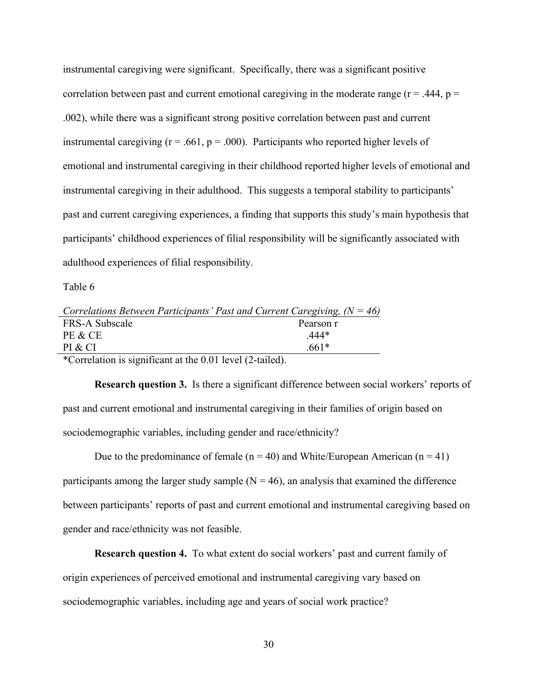instrumental caregiving were significant. Specifically, there was a significant positive correlation between past and current emotional caregiving in the moderate range ( $r = .444$ ,  $p =$ .002), while there was a significant strong positive correlation between past and current instrumental caregiving ( $r = .661$ ,  $p = .000$ ). Participants who reported higher levels of emotional and instrumental caregiving in their childhood reported higher levels of emotional and instrumental caregiving in their adulthood. This suggests a temporal stability to participants' past and current caregiving experiences, a finding that supports this study's main hypothesis that participants' childhood experiences of filial responsibility will be significantly associated with adulthood experiences of filial responsibility.

Table 6

| Correlations Between Participants' Past and Current Caregiving, $(N = 46)$                               |           |
|----------------------------------------------------------------------------------------------------------|-----------|
| FRS-A Subscale                                                                                           | Pearson r |
| PE & CE                                                                                                  | 444*      |
| PI & CI                                                                                                  | 661*      |
| $\mathcal{A}$ , and the set of $\mathcal{A}$ , and $\mathcal{A}$ , and $\mathcal{A}$ , and $\mathcal{A}$ |           |

\*Correlation is significant at the 0.01 level (2-tailed).

**Research question 3.** Is there a significant difference between social workers' reports of past and current emotional and instrumental caregiving in their families of origin based on sociodemographic variables, including gender and race/ethnicity?

Due to the predominance of female ( $n = 40$ ) and White/European American ( $n = 41$ ) participants among the larger study sample  $(N = 46)$ , an analysis that examined the difference between participants' reports of past and current emotional and instrumental caregiving based on gender and race/ethnicity was not feasible.

**Research question 4.** To what extent do social workers' past and current family of origin experiences of perceived emotional and instrumental caregiving vary based on sociodemographic variables, including age and years of social work practice?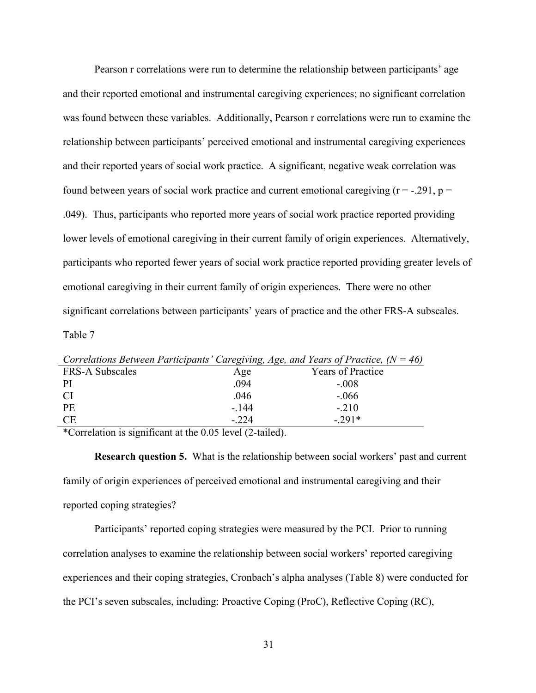Pearson r correlations were run to determine the relationship between participants' age and their reported emotional and instrumental caregiving experiences; no significant correlation was found between these variables. Additionally, Pearson r correlations were run to examine the relationship between participants' perceived emotional and instrumental caregiving experiences and their reported years of social work practice. A significant, negative weak correlation was found between years of social work practice and current emotional caregiving  $(r = -0.291, p =$ .049). Thus, participants who reported more years of social work practice reported providing lower levels of emotional caregiving in their current family of origin experiences. Alternatively, participants who reported fewer years of social work practice reported providing greater levels of emotional caregiving in their current family of origin experiences. There were no other significant correlations between participants' years of practice and the other FRS-A subscales. Table 7

|                        |        | Correlations Between Participants' Caregiving, Age, and Years of Practice, $(N = 46)$ |
|------------------------|--------|---------------------------------------------------------------------------------------|
| <b>FRS-A Subscales</b> | Age    | <b>Years of Practice</b>                                                              |
| PI                     | .094   | $-.008$                                                                               |
| <b>CI</b>              | .046   | $-.066$                                                                               |
| <b>PE</b>              | - 144  | $-.210$                                                                               |
| <b>CE</b>              | $-224$ | $-291*$                                                                               |
|                        |        |                                                                                       |

\*Correlation is significant at the 0.05 level (2-tailed).

**Research question 5.** What is the relationship between social workers' past and current family of origin experiences of perceived emotional and instrumental caregiving and their reported coping strategies?

Participants' reported coping strategies were measured by the PCI. Prior to running correlation analyses to examine the relationship between social workers' reported caregiving experiences and their coping strategies, Cronbach's alpha analyses (Table 8) were conducted for the PCI's seven subscales, including: Proactive Coping (ProC), Reflective Coping (RC),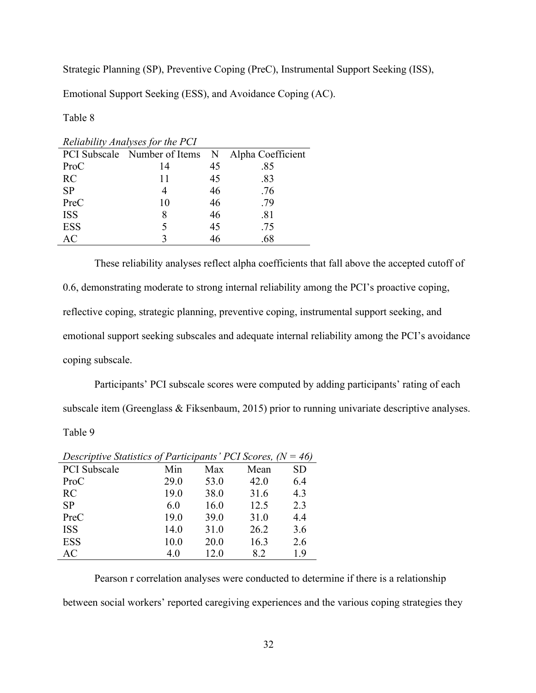Strategic Planning (SP), Preventive Coping (PreC), Instrumental Support Seeking (ISS),

Emotional Support Seeking (ESS), and Avoidance Coping (AC).

Table 8

|            | Renability Analyses for the 1 CI |    |                   |
|------------|----------------------------------|----|-------------------|
|            | PCI Subscale Number of Items N   |    | Alpha Coefficient |
| ProC       | 14                               | 45 | .85               |
| RC         | 11                               | 45 | .83               |
| <b>SP</b>  |                                  | 46 | .76               |
| PreC       | 10                               | 46 | .79               |
| <b>ISS</b> |                                  | 46 | .81               |
| <b>ESS</b> |                                  | 45 | .75               |
| AC         |                                  | 46 | .68               |
|            |                                  |    |                   |

*Reliability Analyses for the PCI*

These reliability analyses reflect alpha coefficients that fall above the accepted cutoff of 0.6, demonstrating moderate to strong internal reliability among the PCI's proactive coping, reflective coping, strategic planning, preventive coping, instrumental support seeking, and emotional support seeking subscales and adequate internal reliability among the PCI's avoidance coping subscale.

Participants' PCI subscale scores were computed by adding participants' rating of each subscale item (Greenglass & Fiksenbaum, 2015) prior to running univariate descriptive analyses. Table 9

| Descriptive Statistics of Participants' PCI Scores, $(N = 46)$ |      |      |      |           |
|----------------------------------------------------------------|------|------|------|-----------|
| <b>PCI</b> Subscale                                            | Min  | Max  | Mean | <b>SD</b> |
| ProC                                                           | 29.0 | 53.0 | 42.0 | 6.4       |
| <b>RC</b>                                                      | 19.0 | 38.0 | 31.6 | 4.3       |
| <b>SP</b>                                                      | 6.0  | 16.0 | 12.5 | 2.3       |
| PreC                                                           | 19.0 | 39.0 | 31.0 | 4.4       |
| <b>ISS</b>                                                     | 14.0 | 31.0 | 26.2 | 3.6       |
| <b>ESS</b>                                                     | 10.0 | 20.0 | 16.3 | 2.6       |
| AC                                                             | 4.0  | 12.0 | 8.2  | 1.9       |

| Descriptive Statistics of Participants' PCI Scores, ( $N = 46$ ) |  |  |  |
|------------------------------------------------------------------|--|--|--|
|------------------------------------------------------------------|--|--|--|

Pearson r correlation analyses were conducted to determine if there is a relationship

between social workers' reported caregiving experiences and the various coping strategies they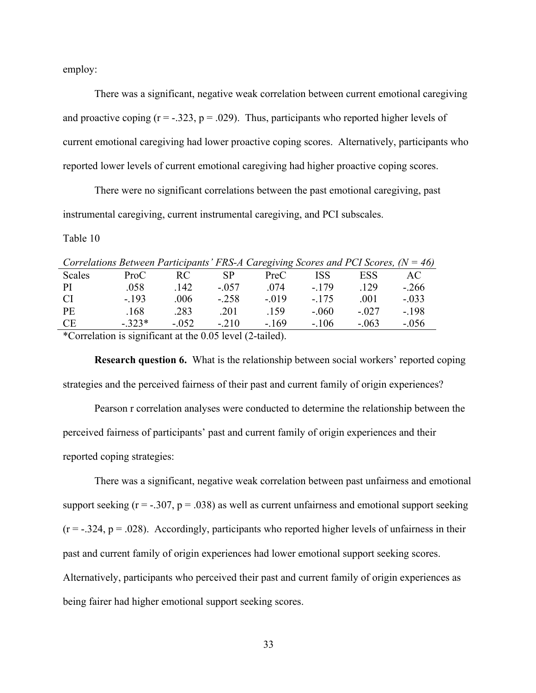employ:

There was a significant, negative weak correlation between current emotional caregiving and proactive coping  $(r = -.323, p = .029)$ . Thus, participants who reported higher levels of current emotional caregiving had lower proactive coping scores. Alternatively, participants who reported lower levels of current emotional caregiving had higher proactive coping scores.

There were no significant correlations between the past emotional caregiving, past instrumental caregiving, current instrumental caregiving, and PCI subscales.

Table 10

|           | Correlations Between Participants' FRS-A Caregiving Scores and PCI Scores, $(N = 46)$                                                                                                                                                                                                                           |         |         |        |         |         |         |
|-----------|-----------------------------------------------------------------------------------------------------------------------------------------------------------------------------------------------------------------------------------------------------------------------------------------------------------------|---------|---------|--------|---------|---------|---------|
| Scales    | ProC                                                                                                                                                                                                                                                                                                            | RC.     | SP      | PreC   | ISS     | ESS     | AC.     |
| -PI       | .058                                                                                                                                                                                                                                                                                                            | .142    | $-0.57$ | -074   | $-179$  | 129     | $-266$  |
| -CI       | $-193$                                                                                                                                                                                                                                                                                                          | .006    | $-.258$ | $-019$ | $-175$  | .001    | $-.033$ |
| PE        | .168                                                                                                                                                                                                                                                                                                            | .283    | .201    | -159   | $-.060$ | $-.027$ | $-.198$ |
| <b>CE</b> | $-323*$                                                                                                                                                                                                                                                                                                         | $-0.52$ | $-210$  | $-169$ | $-.106$ | $-.063$ | $-.056$ |
|           | $\star$ (1) $\star$ $\star$ $\star$ $\star$ $\star$ (1) $\star$ (1) $\star$ (1) $\star$ (1) $\star$ (1) $\star$ (1) $\star$ (1) $\star$ (1) $\star$ (1) $\star$ (1) $\star$ (1) $\star$ (1) $\star$ (1) $\star$ (1) $\star$ (1) $\star$ (1) $\star$ (1) $\star$ (1) $\star$ (1) $\star$ (1) $\star$ (1) $\star$ |         |         |        |         |         |         |

\*Correlation is significant at the 0.05 level (2-tailed).

**Research question 6.** What is the relationship between social workers' reported coping strategies and the perceived fairness of their past and current family of origin experiences?

Pearson r correlation analyses were conducted to determine the relationship between the perceived fairness of participants' past and current family of origin experiences and their reported coping strategies:

There was a significant, negative weak correlation between past unfairness and emotional support seeking  $(r = -.307, p = .038)$  as well as current unfairness and emotional support seeking  $(r = -.324, p = .028)$ . Accordingly, participants who reported higher levels of unfairness in their past and current family of origin experiences had lower emotional support seeking scores. Alternatively, participants who perceived their past and current family of origin experiences as being fairer had higher emotional support seeking scores.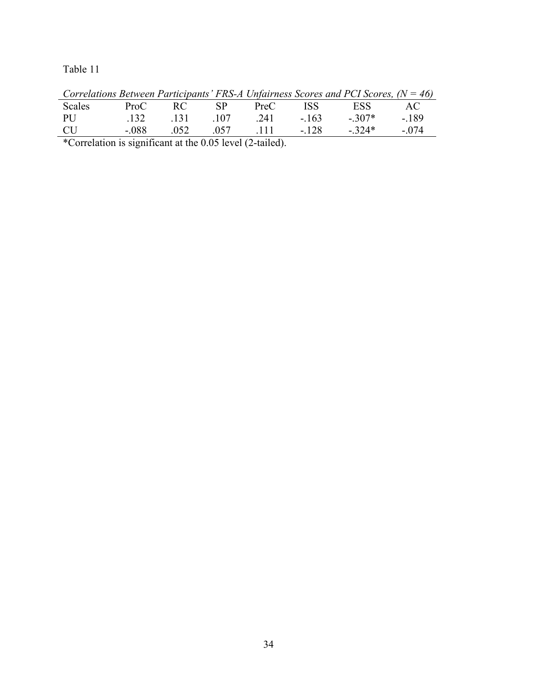Table 11

|           |         |             |             |            | Correlations Between Participants $FRS-A$ Unfairness Scores and PCI Scores, $(N = 40)$ |        |
|-----------|---------|-------------|-------------|------------|----------------------------------------------------------------------------------------|--------|
| Scales    | ProC    | RC SP       | PreC        | <b>ISS</b> | ESS                                                                                    | – AC – |
| PU        |         | 132 131 107 | - 241 - 163 |            | $-307*$                                                                                | - 189  |
| <b>CU</b> | - 088 - | 052         |             |            | $.057$ $.111$ $-.128$ $-.324*$                                                         | $-074$ |

*Correlations Between Participants' FRS-A Unfairness Scores and PCI Scores, (N = 46)*

\*Correlation is significant at the 0.05 level (2-tailed).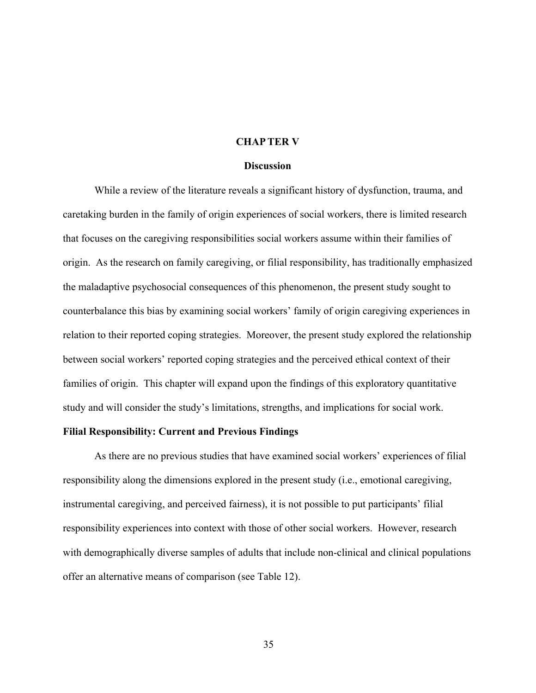#### **CHAPTER V**

#### **Discussion**

While a review of the literature reveals a significant history of dysfunction, trauma, and caretaking burden in the family of origin experiences of social workers, there is limited research that focuses on the caregiving responsibilities social workers assume within their families of origin. As the research on family caregiving, or filial responsibility, has traditionally emphasized the maladaptive psychosocial consequences of this phenomenon, the present study sought to counterbalance this bias by examining social workers' family of origin caregiving experiences in relation to their reported coping strategies. Moreover, the present study explored the relationship between social workers' reported coping strategies and the perceived ethical context of their families of origin. This chapter will expand upon the findings of this exploratory quantitative study and will consider the study's limitations, strengths, and implications for social work.

#### **Filial Responsibility: Current and Previous Findings**

As there are no previous studies that have examined social workers' experiences of filial responsibility along the dimensions explored in the present study (i.e., emotional caregiving, instrumental caregiving, and perceived fairness), it is not possible to put participants' filial responsibility experiences into context with those of other social workers. However, research with demographically diverse samples of adults that include non-clinical and clinical populations offer an alternative means of comparison (see Table 12).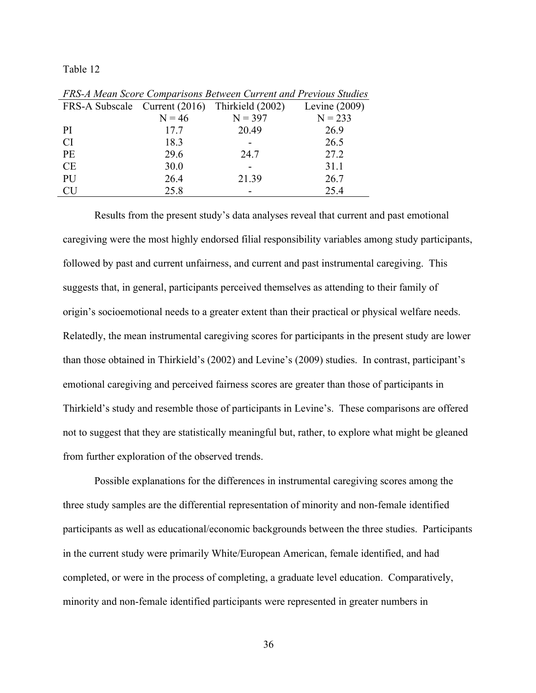Table 12

| FRS-A Subscale Current (2016) Thirkield (2002) |          |           | Levine $(2009)$ |
|------------------------------------------------|----------|-----------|-----------------|
|                                                | $N = 46$ | $N = 397$ | $N = 233$       |
| PI                                             | 17.7     | 20.49     | 26.9            |
| <b>CI</b>                                      | 18.3     |           | 26.5            |
| <b>PE</b>                                      | 29.6     | 24.7      | 27.2            |
| <b>CE</b>                                      | 30.0     |           | 31.1            |
| PU                                             | 26.4     | 21.39     | 26.7            |
| <b>CU</b>                                      | 25.8     |           | 25.4            |

*FRS-A Mean Score Comparisons Between Current and Previous Studies*

Results from the present study's data analyses reveal that current and past emotional caregiving were the most highly endorsed filial responsibility variables among study participants, followed by past and current unfairness, and current and past instrumental caregiving. This suggests that, in general, participants perceived themselves as attending to their family of origin's socioemotional needs to a greater extent than their practical or physical welfare needs. Relatedly, the mean instrumental caregiving scores for participants in the present study are lower than those obtained in Thirkield's (2002) and Levine's (2009) studies. In contrast, participant's emotional caregiving and perceived fairness scores are greater than those of participants in Thirkield's study and resemble those of participants in Levine's. These comparisons are offered not to suggest that they are statistically meaningful but, rather, to explore what might be gleaned from further exploration of the observed trends.

Possible explanations for the differences in instrumental caregiving scores among the three study samples are the differential representation of minority and non-female identified participants as well as educational/economic backgrounds between the three studies. Participants in the current study were primarily White/European American, female identified, and had completed, or were in the process of completing, a graduate level education. Comparatively, minority and non-female identified participants were represented in greater numbers in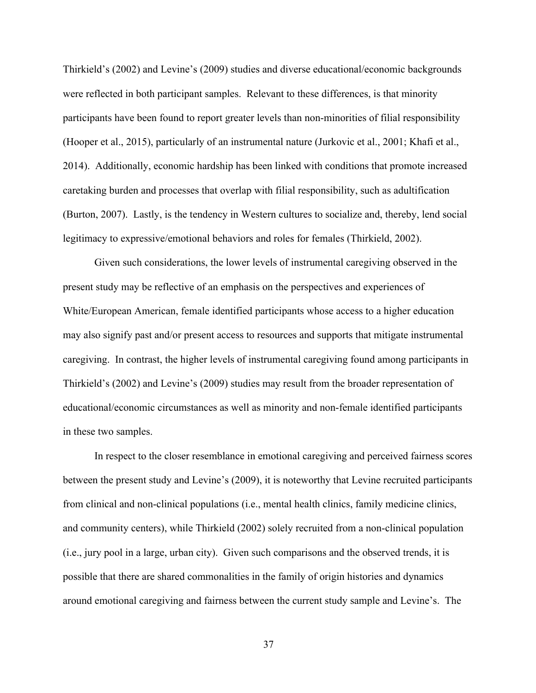Thirkield's (2002) and Levine's (2009) studies and diverse educational/economic backgrounds were reflected in both participant samples. Relevant to these differences, is that minority participants have been found to report greater levels than non-minorities of filial responsibility (Hooper et al., 2015), particularly of an instrumental nature (Jurkovic et al., 2001; Khafi et al., 2014). Additionally, economic hardship has been linked with conditions that promote increased caretaking burden and processes that overlap with filial responsibility, such as adultification (Burton, 2007). Lastly, is the tendency in Western cultures to socialize and, thereby, lend social legitimacy to expressive/emotional behaviors and roles for females (Thirkield, 2002).

Given such considerations, the lower levels of instrumental caregiving observed in the present study may be reflective of an emphasis on the perspectives and experiences of White/European American, female identified participants whose access to a higher education may also signify past and/or present access to resources and supports that mitigate instrumental caregiving. In contrast, the higher levels of instrumental caregiving found among participants in Thirkield's (2002) and Levine's (2009) studies may result from the broader representation of educational/economic circumstances as well as minority and non-female identified participants in these two samples.

In respect to the closer resemblance in emotional caregiving and perceived fairness scores between the present study and Levine's (2009), it is noteworthy that Levine recruited participants from clinical and non-clinical populations (i.e., mental health clinics, family medicine clinics, and community centers), while Thirkield (2002) solely recruited from a non-clinical population (i.e., jury pool in a large, urban city). Given such comparisons and the observed trends, it is possible that there are shared commonalities in the family of origin histories and dynamics around emotional caregiving and fairness between the current study sample and Levine's. The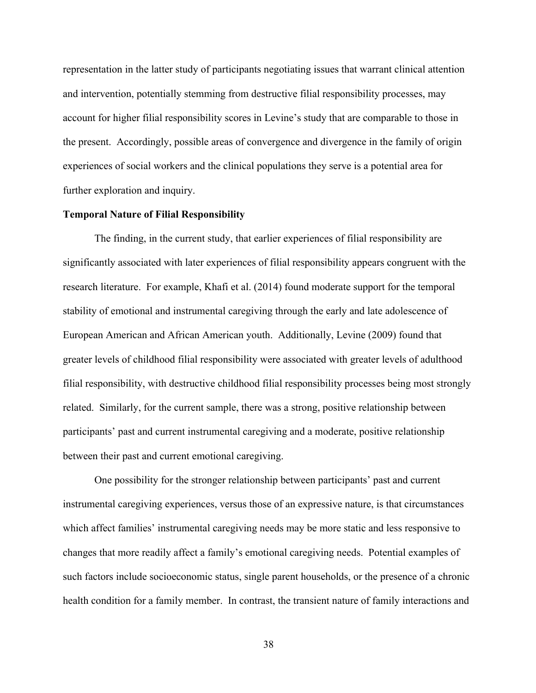representation in the latter study of participants negotiating issues that warrant clinical attention and intervention, potentially stemming from destructive filial responsibility processes, may account for higher filial responsibility scores in Levine's study that are comparable to those in the present. Accordingly, possible areas of convergence and divergence in the family of origin experiences of social workers and the clinical populations they serve is a potential area for further exploration and inquiry.

#### **Temporal Nature of Filial Responsibility**

The finding, in the current study, that earlier experiences of filial responsibility are significantly associated with later experiences of filial responsibility appears congruent with the research literature. For example, Khafi et al. (2014) found moderate support for the temporal stability of emotional and instrumental caregiving through the early and late adolescence of European American and African American youth. Additionally, Levine (2009) found that greater levels of childhood filial responsibility were associated with greater levels of adulthood filial responsibility, with destructive childhood filial responsibility processes being most strongly related. Similarly, for the current sample, there was a strong, positive relationship between participants' past and current instrumental caregiving and a moderate, positive relationship between their past and current emotional caregiving.

One possibility for the stronger relationship between participants' past and current instrumental caregiving experiences, versus those of an expressive nature, is that circumstances which affect families' instrumental caregiving needs may be more static and less responsive to changes that more readily affect a family's emotional caregiving needs. Potential examples of such factors include socioeconomic status, single parent households, or the presence of a chronic health condition for a family member. In contrast, the transient nature of family interactions and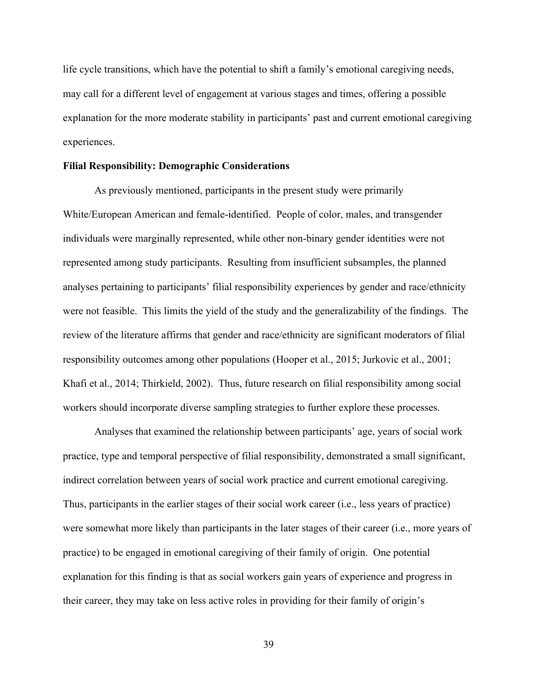life cycle transitions, which have the potential to shift a family's emotional caregiving needs, may call for a different level of engagement at various stages and times, offering a possible explanation for the more moderate stability in participants' past and current emotional caregiving experiences.

#### **Filial Responsibility: Demographic Considerations**

As previously mentioned, participants in the present study were primarily White/European American and female-identified. People of color, males, and transgender individuals were marginally represented, while other non-binary gender identities were not represented among study participants. Resulting from insufficient subsamples, the planned analyses pertaining to participants' filial responsibility experiences by gender and race/ethnicity were not feasible. This limits the yield of the study and the generalizability of the findings. The review of the literature affirms that gender and race/ethnicity are significant moderators of filial responsibility outcomes among other populations (Hooper et al., 2015; Jurkovic et al., 2001; Khafi et al., 2014; Thirkield, 2002). Thus, future research on filial responsibility among social workers should incorporate diverse sampling strategies to further explore these processes.

Analyses that examined the relationship between participants' age, years of social work practice, type and temporal perspective of filial responsibility, demonstrated a small significant, indirect correlation between years of social work practice and current emotional caregiving. Thus, participants in the earlier stages of their social work career (i.e., less years of practice) were somewhat more likely than participants in the later stages of their career (i.e., more years of practice) to be engaged in emotional caregiving of their family of origin. One potential explanation for this finding is that as social workers gain years of experience and progress in their career, they may take on less active roles in providing for their family of origin's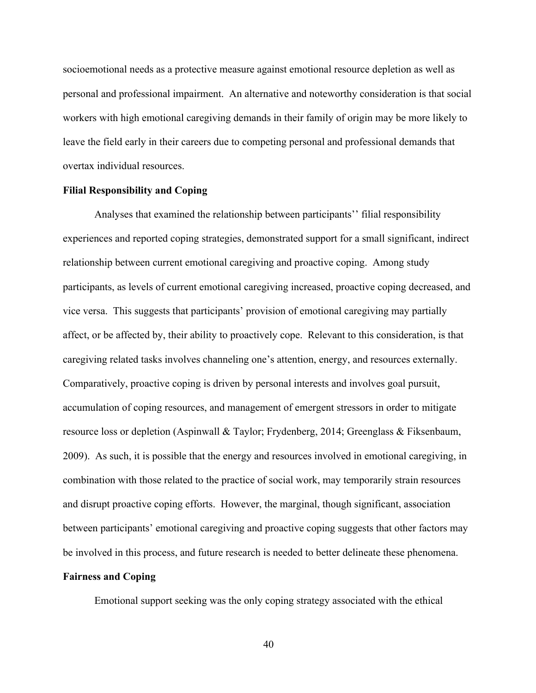socioemotional needs as a protective measure against emotional resource depletion as well as personal and professional impairment. An alternative and noteworthy consideration is that social workers with high emotional caregiving demands in their family of origin may be more likely to leave the field early in their careers due to competing personal and professional demands that overtax individual resources.

#### **Filial Responsibility and Coping**

Analyses that examined the relationship between participants'' filial responsibility experiences and reported coping strategies, demonstrated support for a small significant, indirect relationship between current emotional caregiving and proactive coping. Among study participants, as levels of current emotional caregiving increased, proactive coping decreased, and vice versa. This suggests that participants' provision of emotional caregiving may partially affect, or be affected by, their ability to proactively cope. Relevant to this consideration, is that caregiving related tasks involves channeling one's attention, energy, and resources externally. Comparatively, proactive coping is driven by personal interests and involves goal pursuit, accumulation of coping resources, and management of emergent stressors in order to mitigate resource loss or depletion (Aspinwall & Taylor; Frydenberg, 2014; Greenglass & Fiksenbaum, 2009). As such, it is possible that the energy and resources involved in emotional caregiving, in combination with those related to the practice of social work, may temporarily strain resources and disrupt proactive coping efforts. However, the marginal, though significant, association between participants' emotional caregiving and proactive coping suggests that other factors may be involved in this process, and future research is needed to better delineate these phenomena.

#### **Fairness and Coping**

Emotional support seeking was the only coping strategy associated with the ethical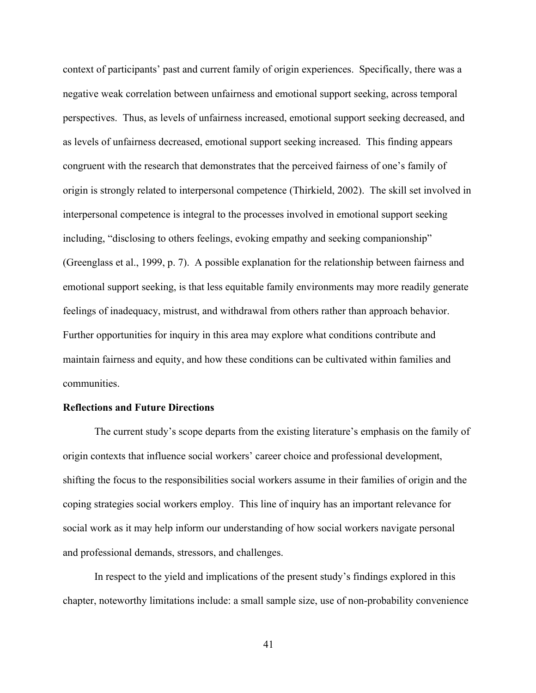context of participants' past and current family of origin experiences. Specifically, there was a negative weak correlation between unfairness and emotional support seeking, across temporal perspectives. Thus, as levels of unfairness increased, emotional support seeking decreased, and as levels of unfairness decreased, emotional support seeking increased. This finding appears congruent with the research that demonstrates that the perceived fairness of one's family of origin is strongly related to interpersonal competence (Thirkield, 2002). The skill set involved in interpersonal competence is integral to the processes involved in emotional support seeking including, "disclosing to others feelings, evoking empathy and seeking companionship" (Greenglass et al., 1999, p. 7). A possible explanation for the relationship between fairness and emotional support seeking, is that less equitable family environments may more readily generate feelings of inadequacy, mistrust, and withdrawal from others rather than approach behavior. Further opportunities for inquiry in this area may explore what conditions contribute and maintain fairness and equity, and how these conditions can be cultivated within families and communities.

#### **Reflections and Future Directions**

The current study's scope departs from the existing literature's emphasis on the family of origin contexts that influence social workers' career choice and professional development, shifting the focus to the responsibilities social workers assume in their families of origin and the coping strategies social workers employ. This line of inquiry has an important relevance for social work as it may help inform our understanding of how social workers navigate personal and professional demands, stressors, and challenges.

In respect to the yield and implications of the present study's findings explored in this chapter, noteworthy limitations include: a small sample size, use of non-probability convenience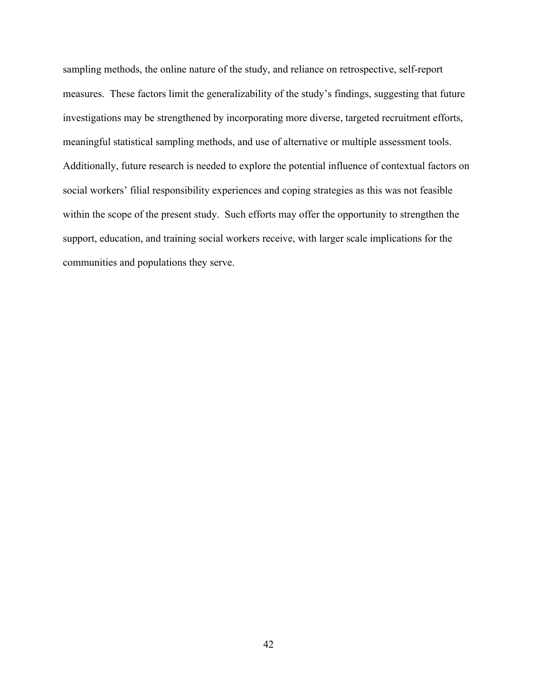sampling methods, the online nature of the study, and reliance on retrospective, self-report measures. These factors limit the generalizability of the study's findings, suggesting that future investigations may be strengthened by incorporating more diverse, targeted recruitment efforts, meaningful statistical sampling methods, and use of alternative or multiple assessment tools. Additionally, future research is needed to explore the potential influence of contextual factors on social workers' filial responsibility experiences and coping strategies as this was not feasible within the scope of the present study. Such efforts may offer the opportunity to strengthen the support, education, and training social workers receive, with larger scale implications for the communities and populations they serve.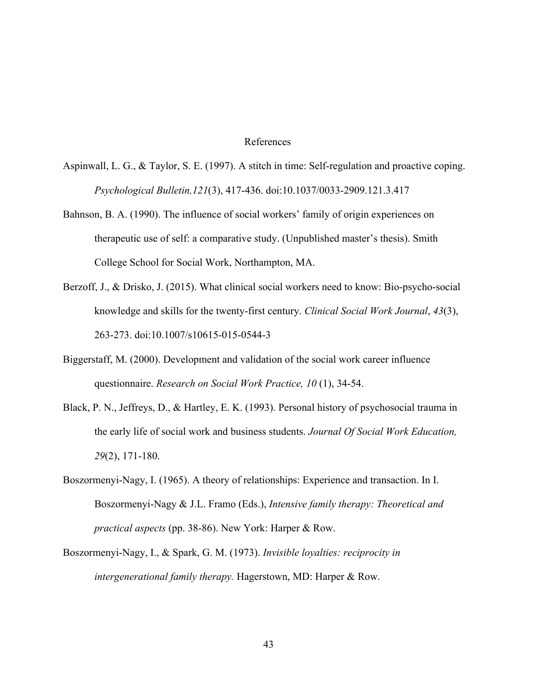#### References

- Aspinwall, L. G., & Taylor, S. E. (1997). A stitch in time: Self-regulation and proactive coping. *Psychological Bulletin,121*(3), 417-436. doi:10.1037/0033-2909.121.3.417
- Bahnson, B. A. (1990). The influence of social workers' family of origin experiences on therapeutic use of self: a comparative study. (Unpublished master's thesis). Smith College School for Social Work, Northampton, MA.
- Berzoff, J., & Drisko, J. (2015). What clinical social workers need to know: Bio-psycho-social knowledge and skills for the twenty-first century. *Clinical Social Work Journal*, *43*(3), 263-273. doi:10.1007/s10615-015-0544-3
- Biggerstaff, M. (2000). Development and validation of the social work career influence questionnaire. *Research on Social Work Practice, 10* (1), 34-54.
- Black, P. N., Jeffreys, D., & Hartley, E. K. (1993). Personal history of psychosocial trauma in the early life of social work and business students. *Journal Of Social Work Education, 29*(2), 171-180.
- Boszormenyi-Nagy, I. (1965). A theory of relationships: Experience and transaction. In I. Boszormenyi-Nagy & J.L. Framo (Eds.), *Intensive family therapy: Theoretical and practical aspects* (pp. 38-86). New York: Harper & Row.
- Boszormenyi-Nagy, I., & Spark, G. M. (1973). *Invisible loyalties: reciprocity in intergenerational family therapy.* Hagerstown, MD: Harper & Row.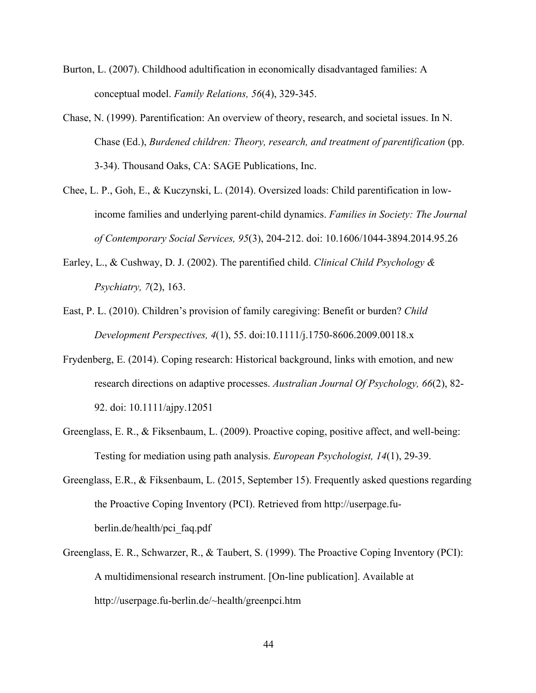- Burton, L. (2007). Childhood adultification in economically disadvantaged families: A conceptual model. *Family Relations, 56*(4), 329-345.
- Chase, N. (1999). Parentification: An overview of theory, research, and societal issues. In N. Chase (Ed.), *Burdened children: Theory, research, and treatment of parentification* (pp. 3-34). Thousand Oaks, CA: SAGE Publications, Inc.
- Chee, L. P., Goh, E., & Kuczynski, L. (2014). Oversized loads: Child parentification in lowincome families and underlying parent-child dynamics. *Families in Society: The Journal of Contemporary Social Services, 95*(3), 204-212. doi: 10.1606/1044-3894.2014.95.26
- Earley, L., & Cushway, D. J. (2002). The parentified child. *Clinical Child Psychology & Psychiatry, 7*(2), 163.
- East, P. L. (2010). Children's provision of family caregiving: Benefit or burden? *Child Development Perspectives, 4*(1), 55. doi:10.1111/j.1750-8606.2009.00118.x
- Frydenberg, E. (2014). Coping research: Historical background, links with emotion, and new research directions on adaptive processes. *Australian Journal Of Psychology, 66*(2), 82- 92. doi: 10.1111/ajpy.12051
- Greenglass, E. R., & Fiksenbaum, L. (2009). Proactive coping, positive affect, and well-being: Testing for mediation using path analysis. *European Psychologist, 14*(1), 29-39.
- Greenglass, E.R., & Fiksenbaum, L. (2015, September 15). Frequently asked questions regarding the Proactive Coping Inventory (PCI). Retrieved from http://userpage.fuberlin.de/health/pci\_faq.pdf
- Greenglass, E. R., Schwarzer, R., & Taubert, S. (1999). The Proactive Coping Inventory (PCI): A multidimensional research instrument. [On-line publication]. Available at http://userpage.fu-berlin.de/~health/greenpci.htm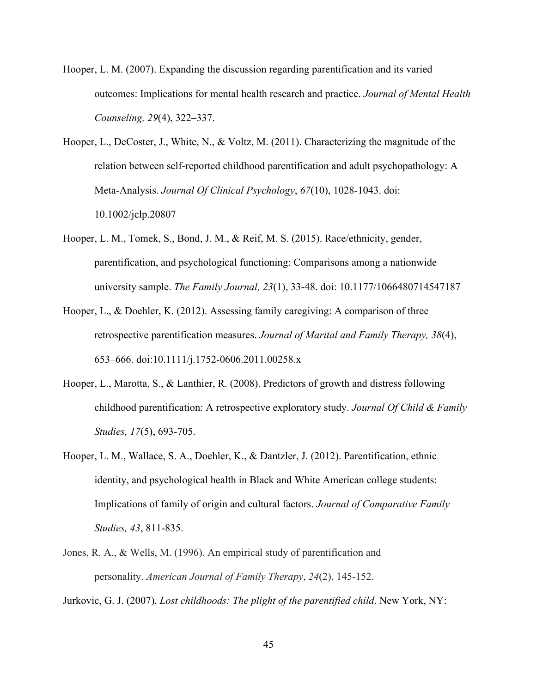- Hooper, L. M. (2007). Expanding the discussion regarding parentification and its varied outcomes: Implications for mental health research and practice. *Journal of Mental Health Counseling, 29*(4), 322–337.
- Hooper, L., DeCoster, J., White, N., & Voltz, M. (2011). Characterizing the magnitude of the relation between self-reported childhood parentification and adult psychopathology: A Meta-Analysis. *Journal Of Clinical Psychology*, *67*(10), 1028-1043. doi: 10.1002/jclp.20807
- Hooper, L. M., Tomek, S., Bond, J. M., & Reif, M. S. (2015). Race/ethnicity, gender, parentification, and psychological functioning: Comparisons among a nationwide university sample. *The Family Journal, 23*(1), 33-48. doi: 10.1177/1066480714547187
- Hooper, L., & Doehler, K. (2012). Assessing family caregiving: A comparison of three retrospective parentification measures. *Journal of Marital and Family Therapy, 38*(4), 653–666. doi:10.1111/j.1752-0606.2011.00258.x
- Hooper, L., Marotta, S., & Lanthier, R. (2008). Predictors of growth and distress following childhood parentification: A retrospective exploratory study. *Journal Of Child & Family Studies, 17*(5), 693-705.
- Hooper, L. M., Wallace, S. A., Doehler, K., & Dantzler, J. (2012). Parentification, ethnic identity, and psychological health in Black and White American college students: Implications of family of origin and cultural factors. *Journal of Comparative Family Studies, 43*, 811-835.
- Jones, R. A., & Wells, M. (1996). An empirical study of parentification and personality. *American Journal of Family Therapy*, *24*(2), 145-152.

Jurkovic, G. J. (2007). *Lost childhoods: The plight of the parentified child*. New York, NY: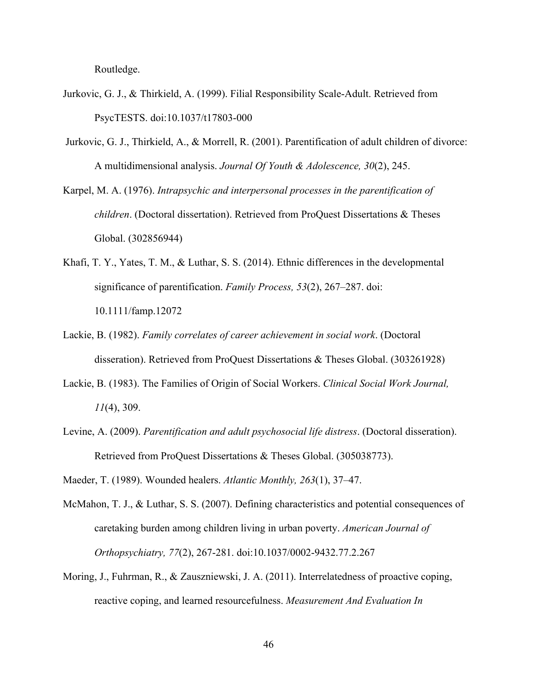Routledge.

- Jurkovic, G. J., & Thirkield, A. (1999). Filial Responsibility Scale-Adult. Retrieved from PsycTESTS. doi:10.1037/t17803-000
- Jurkovic, G. J., Thirkield, A., & Morrell, R. (2001). Parentification of adult children of divorce: A multidimensional analysis. *Journal Of Youth & Adolescence, 30*(2), 245.
- Karpel, M. A. (1976). *Intrapsychic and interpersonal processes in the parentification of children*. (Doctoral dissertation). Retrieved from ProQuest Dissertations & Theses Global. (302856944)
- Khafi, T. Y., Yates, T. M., & Luthar, S. S. (2014). Ethnic differences in the developmental significance of parentification. *Family Process, 53*(2), 267–287. doi: 10.1111/famp.12072
- Lackie, B. (1982). *Family correlates of career achievement in social work*. (Doctoral disseration). Retrieved from ProQuest Dissertations & Theses Global. (303261928)
- Lackie, B. (1983). The Families of Origin of Social Workers. *Clinical Social Work Journal, 11*(4), 309.
- Levine, A. (2009). *Parentification and adult psychosocial life distress*. (Doctoral disseration). Retrieved from ProQuest Dissertations & Theses Global. (305038773).
- Maeder, T. (1989). Wounded healers. *Atlantic Monthly, 263*(1), 37–47.
- McMahon, T. J., & Luthar, S. S. (2007). Defining characteristics and potential consequences of caretaking burden among children living in urban poverty. *American Journal of Orthopsychiatry, 77*(2), 267-281. doi:10.1037/0002-9432.77.2.267
- Moring, J., Fuhrman, R., & Zauszniewski, J. A. (2011). Interrelatedness of proactive coping, reactive coping, and learned resourcefulness. *Measurement And Evaluation In*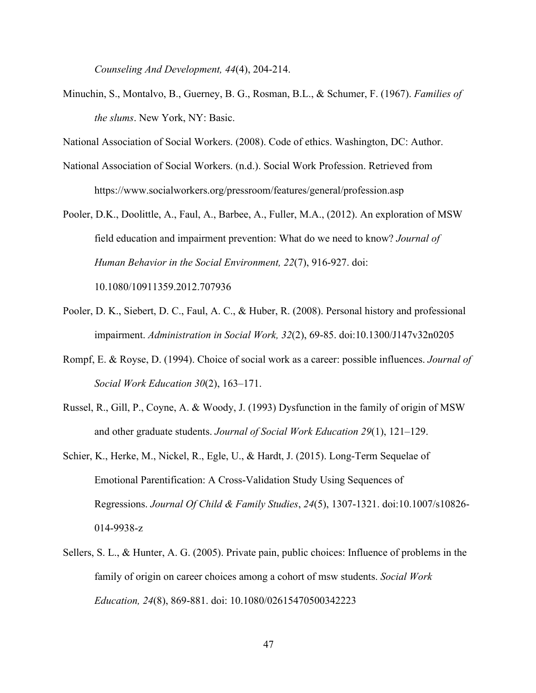*Counseling And Development, 44*(4), 204-214.

Minuchin, S., Montalvo, B., Guerney, B. G., Rosman, B.L., & Schumer, F. (1967). *Families of the slums*. New York, NY: Basic.

National Association of Social Workers. (2008). Code of ethics. Washington, DC: Author.

- National Association of Social Workers. (n.d.). Social Work Profession. Retrieved from https://www.socialworkers.org/pressroom/features/general/profession.asp
- Pooler, D.K., Doolittle, A., Faul, A., Barbee, A., Fuller, M.A., (2012). An exploration of MSW field education and impairment prevention: What do we need to know? *Journal of Human Behavior in the Social Environment, 22*(7), 916-927. doi:

10.1080/10911359.2012.707936

- Pooler, D. K., Siebert, D. C., Faul, A. C., & Huber, R. (2008). Personal history and professional impairment. *Administration in Social Work, 32*(2), 69-85. doi:10.1300/J147v32n0205
- Rompf, E. & Royse, D. (1994). Choice of social work as a career: possible influences. *Journal of Social Work Education 30*(2), 163–171.
- Russel, R., Gill, P., Coyne, A. & Woody, J. (1993) Dysfunction in the family of origin of MSW and other graduate students. *Journal of Social Work Education 29*(1), 121–129.
- Schier, K., Herke, M., Nickel, R., Egle, U., & Hardt, J. (2015). Long-Term Sequelae of Emotional Parentification: A Cross-Validation Study Using Sequences of Regressions. *Journal Of Child & Family Studies*, *24*(5), 1307-1321. doi:10.1007/s10826- 014-9938-z
- Sellers, S. L., & Hunter, A. G. (2005). Private pain, public choices: Influence of problems in the family of origin on career choices among a cohort of msw students. *Social Work Education, 24*(8), 869-881. doi: 10.1080/02615470500342223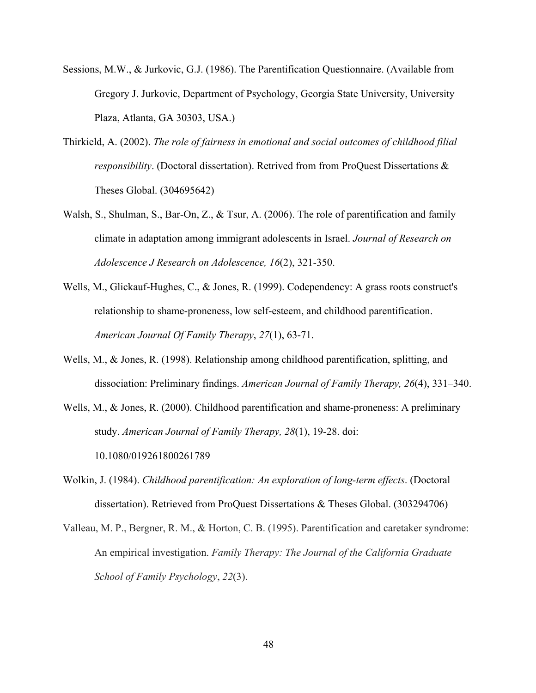- Sessions, M.W., & Jurkovic, G.J. (1986). The Parentification Questionnaire. (Available from Gregory J. Jurkovic, Department of Psychology, Georgia State University, University Plaza, Atlanta, GA 30303, USA.)
- Thirkield, A. (2002). *The role of fairness in emotional and social outcomes of childhood filial responsibility*. (Doctoral dissertation). Retrived from from ProQuest Dissertations & Theses Global. (304695642)
- Walsh, S., Shulman, S., Bar-On, Z., & Tsur, A. (2006). The role of parentification and family climate in adaptation among immigrant adolescents in Israel. *Journal of Research on Adolescence J Research on Adolescence, 16*(2), 321-350.
- Wells, M., Glickauf-Hughes, C., & Jones, R. (1999). Codependency: A grass roots construct's relationship to shame-proneness, low self-esteem, and childhood parentification. *American Journal Of Family Therapy*, *27*(1), 63-71.
- Wells, M., & Jones, R. (1998). Relationship among childhood parentification, splitting, and dissociation: Preliminary findings. *American Journal of Family Therapy, 26*(4), 331–340.
- Wells, M., & Jones, R. (2000). Childhood parentification and shame-proneness: A preliminary study. *American Journal of Family Therapy, 28*(1), 19-28. doi: 10.1080/019261800261789
- Wolkin, J. (1984). *Childhood parentification: An exploration of long-term effects*. (Doctoral dissertation). Retrieved from ProQuest Dissertations & Theses Global. (303294706)
- Valleau, M. P., Bergner, R. M., & Horton, C. B. (1995). Parentification and caretaker syndrome: An empirical investigation. *Family Therapy: The Journal of the California Graduate School of Family Psychology*, *22*(3).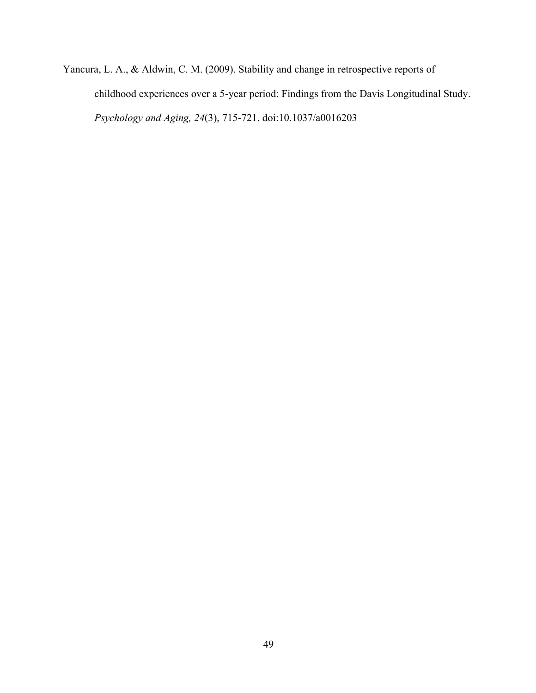Yancura, L. A., & Aldwin, C. M. (2009). Stability and change in retrospective reports of childhood experiences over a 5-year period: Findings from the Davis Longitudinal Study. *Psychology and Aging, 24*(3), 715-721. doi:10.1037/a0016203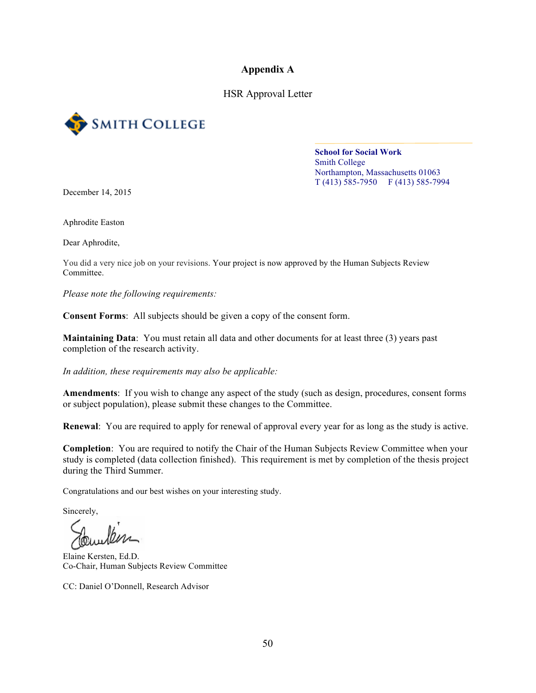**Appendix A**

HSR Approval Letter



#### **School for Social Work** Smith College Northampton, Massachusetts 01063 T (413) 585-7950 F (413) 585-7994

December 14, 2015

Aphrodite Easton

Dear Aphrodite,

You did a very nice job on your revisions. Your project is now approved by the Human Subjects Review Committee.

*Please note the following requirements:*

**Consent Forms**: All subjects should be given a copy of the consent form.

**Maintaining Data**: You must retain all data and other documents for at least three (3) years past completion of the research activity.

*In addition, these requirements may also be applicable:*

**Amendments**: If you wish to change any aspect of the study (such as design, procedures, consent forms or subject population), please submit these changes to the Committee.

**Renewal**: You are required to apply for renewal of approval every year for as long as the study is active.

**Completion**: You are required to notify the Chair of the Human Subjects Review Committee when your study is completed (data collection finished). This requirement is met by completion of the thesis project during the Third Summer.

Congratulations and our best wishes on your interesting study.

Sincerely,

Elaine Kersten, Ed.D. Co-Chair, Human Subjects Review Committee

CC: Daniel O'Donnell, Research Advisor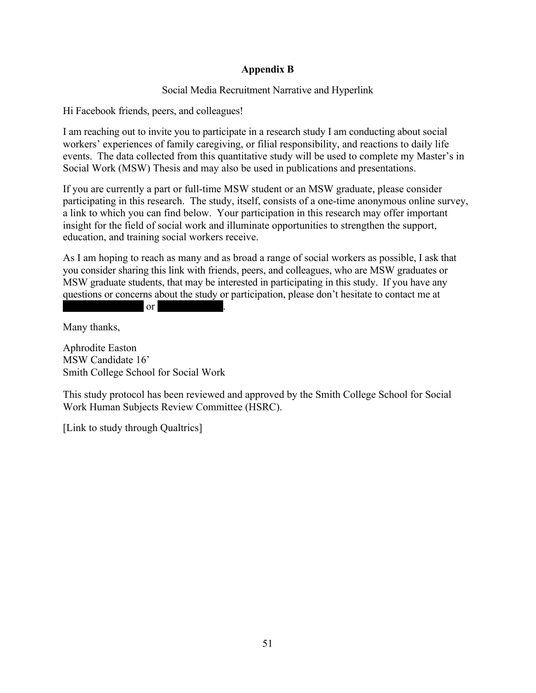### **Appendix B**

### Social Media Recruitment Narrative and Hyperlink

Hi Facebook friends, peers, and colleagues!

I am reaching out to invite you to participate in a research study I am conducting about social workers' experiences of family caregiving, or filial responsibility, and reactions to daily life events. The data collected from this quantitative study will be used to complete my Master's in Social Work (MSW) Thesis and may also be used in publications and presentations.

If you are currently a part or full-time MSW student or an MSW graduate, please consider participating in this research. The study, itself, consists of a one-time anonymous online survey, a link to which you can find below. Your participation in this research may offer important insight for the field of social work and illuminate opportunities to strengthen the support, education, and training social workers receive.

As I am hoping to reach as many and as broad a range of social workers as possible, I ask that you consider sharing this link with friends, peers, and colleagues, who are MSW graduates or MSW graduate students, that may be interested in participating in this study. If you have any questions or concerns about the study or participation, please don't hesitate to contact me at  $\qquad \qquad \text{or}$ 

Many thanks,

Aphrodite Easton MSW Candidate 16' Smith College School for Social Work

This study protocol has been reviewed and approved by the Smith College School for Social Work Human Subjects Review Committee (HSRC).

[Link to study through Qualtrics]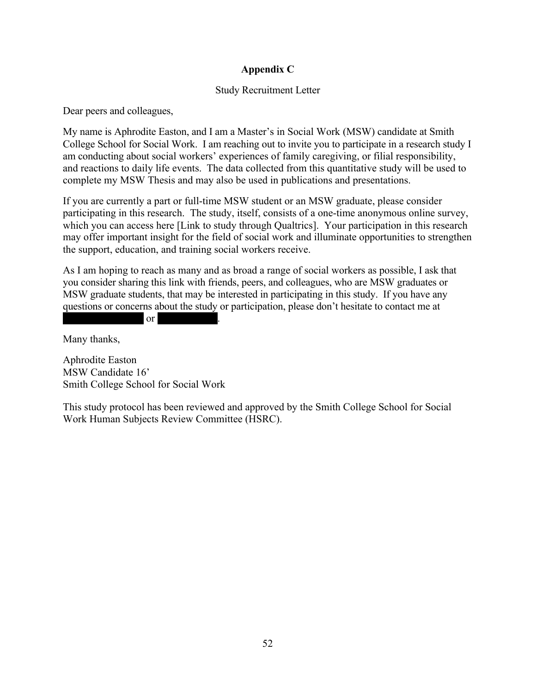## **Appendix C**

### Study Recruitment Letter

Dear peers and colleagues,

My name is Aphrodite Easton, and I am a Master's in Social Work (MSW) candidate at Smith College School for Social Work. I am reaching out to invite you to participate in a research study I am conducting about social workers' experiences of family caregiving, or filial responsibility, and reactions to daily life events. The data collected from this quantitative study will be used to complete my MSW Thesis and may also be used in publications and presentations.

If you are currently a part or full-time MSW student or an MSW graduate, please consider participating in this research. The study, itself, consists of a one-time anonymous online survey, which you can access here [Link to study through Qualtrics]. Your participation in this research may offer important insight for the field of social work and illuminate opportunities to strengthen the support, education, and training social workers receive.

As I am hoping to reach as many and as broad a range of social workers as possible, I ask that you consider sharing this link with friends, peers, and colleagues, who are MSW graduates or MSW graduate students, that may be interested in participating in this study. If you have any questions or concerns about the study or participation, please don't hesitate to contact me at or (413) 341-2410.

Many thanks,

Aphrodite Easton MSW Candidate 16' Smith College School for Social Work

This study protocol has been reviewed and approved by the Smith College School for Social Work Human Subjects Review Committee (HSRC).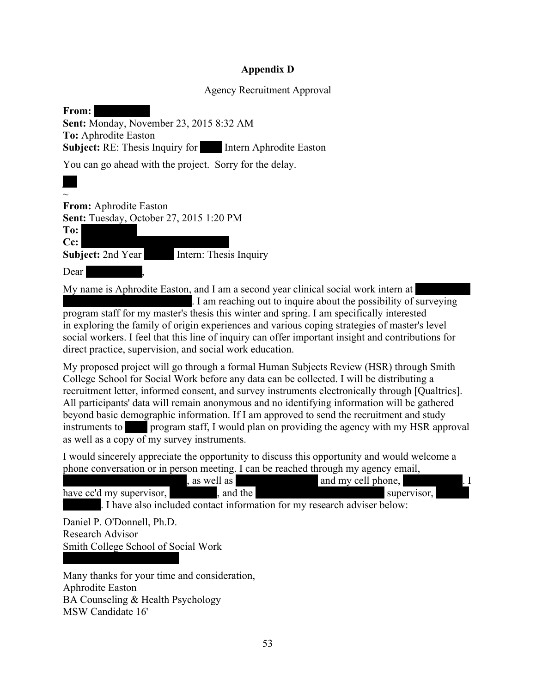### **Appendix D**

#### Agency Recruitment Approval

| From:                                                          |
|----------------------------------------------------------------|
| <b>Sent:</b> Monday, November 23, 2015 8:32 AM                 |
| <b>To:</b> Aphrodite Easton                                    |
| <b>Subject:</b> RE: Thesis Inquiry for Intern Aphrodite Easton |
| You can go ahead with the project. Sorry for the delay.        |

 $\sim$ **From:** Aphrodite Easton **Sent:** Tuesday, October 27, 2015 1:20 PM To: **Cc:** Rhonda C. Newman; C. Newman, C. Newman, C. Newman, C. Newman, C. Newman, C. Newman, C. Newman, C. Newman, C. Newman, C. Newman, C. Newman, C. Newman, C. Newman, C. Newman, C. Newman, C. Newman, C. Newman, C. Newman, **Subject:** 2nd Year Intern: Thesis Inquiry Dear  $\vert$ 

My name is Aphrodite Easton, and I am a second year clinical social work intern at I am reaching out to inquire about the possibility of surveying program staff for my master's thesis this winter and spring. I am specifically interested in exploring the family of origin experiences and various coping strategies of master's level social workers. I feel that this line of inquiry can offer important insight and contributions for direct practice, supervision, and social work education.

My proposed project will go through a formal Human Subjects Review (HSR) through Smith College School for Social Work before any data can be collected. I will be distributing a recruitment letter, informed consent, and survey instruments electronically through [Qualtrics]. All participants' data will remain anonymous and no identifying information will be gathered beyond basic demographic information. If I am approved to send the recruitment and study instruments to **BH** program staff, I would plan on providing the agency with my HSR approval as well as a copy of my survey instruments.

I would sincerely appreciate the opportunity to discuss this opportunity and would welcome a phone conversation or in person meeting. I can be reached through my agency email,

| as well as                                                                | and my cell phone, |             |
|---------------------------------------------------------------------------|--------------------|-------------|
| , and the<br>have cc'd my supervisor, $\blacksquare$                      |                    | supervisor, |
| . I have also included contact information for my research adviser below: |                    |             |
| Daniel P. O'Donnell, Ph.D.                                                |                    |             |

Research Advisor Smith College School of Social Work

Many thanks for your time and consideration, Aphrodite Easton BA Counseling & Health Psychology MSW Candidate 16'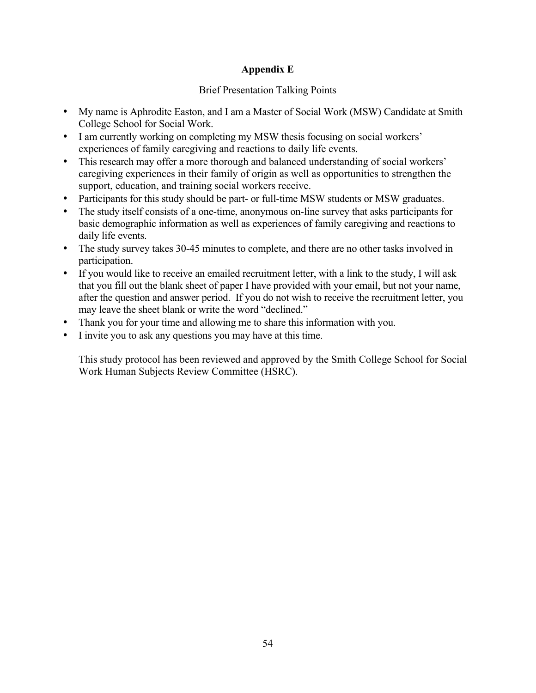## **Appendix E**

### Brief Presentation Talking Points

- My name is Aphrodite Easton, and I am a Master of Social Work (MSW) Candidate at Smith College School for Social Work.
- I am currently working on completing my MSW thesis focusing on social workers' experiences of family caregiving and reactions to daily life events.
- This research may offer a more thorough and balanced understanding of social workers' caregiving experiences in their family of origin as well as opportunities to strengthen the support, education, and training social workers receive.
- Participants for this study should be part- or full-time MSW students or MSW graduates.
- The study itself consists of a one-time, anonymous on-line survey that asks participants for basic demographic information as well as experiences of family caregiving and reactions to daily life events.
- The study survey takes 30-45 minutes to complete, and there are no other tasks involved in participation.
- If you would like to receive an emailed recruitment letter, with a link to the study, I will ask that you fill out the blank sheet of paper I have provided with your email, but not your name, after the question and answer period. If you do not wish to receive the recruitment letter, you may leave the sheet blank or write the word "declined."
- Thank you for your time and allowing me to share this information with you.
- I invite you to ask any questions you may have at this time.

This study protocol has been reviewed and approved by the Smith College School for Social Work Human Subjects Review Committee (HSRC).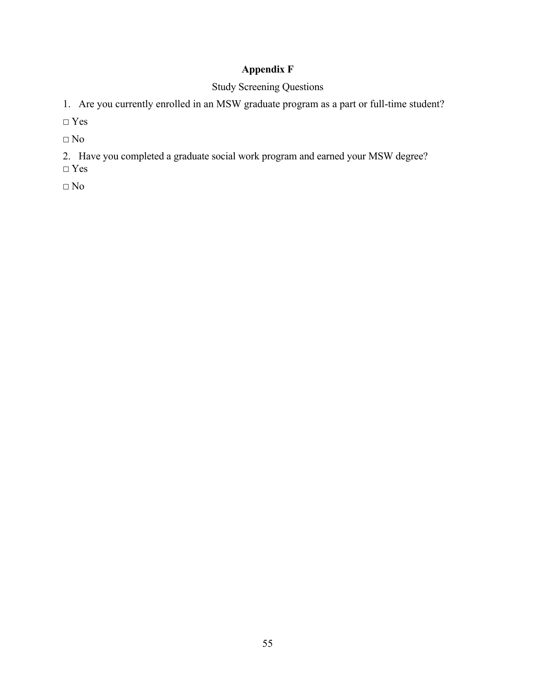# **Appendix F**

## Study Screening Questions

1. Are you currently enrolled in an MSW graduate program as a part or full-time student?

**☐** Yes

**☐** No

- 2. Have you completed a graduate social work program and earned your MSW degree?
- **☐** Yes

 $\square$  No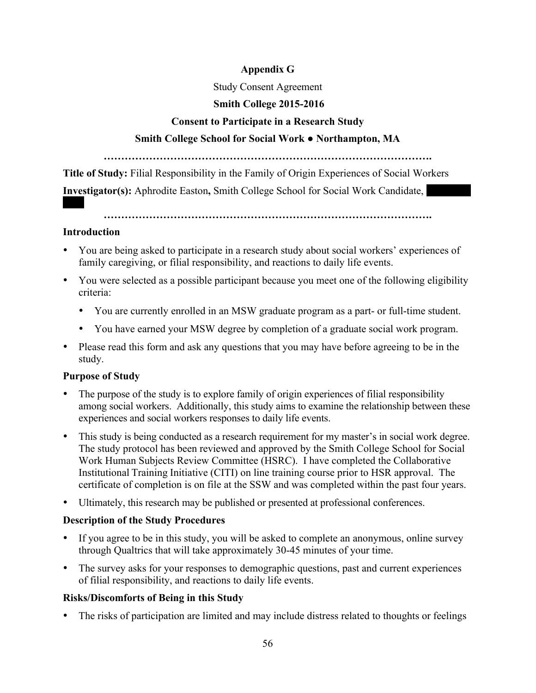## **Appendix G**

## Study Consent Agreement

## **Smith College 2015-2016**

## **Consent to Participate in a Research Study**

## **Smith College School for Social Work ● Northampton, MA**

**………………………………………………………………………………….**

**Title of Study:** Filial Responsibility in the Family of Origin Experiences of Social Workers

**Investigator(s):** Aphrodite Easton, Smith College School for Social Work Candidate,

**………………………………………………………………………………….**

#### **Introduction**

- You are being asked to participate in a research study about social workers' experiences of family caregiving, or filial responsibility, and reactions to daily life events.
- You were selected as a possible participant because you meet one of the following eligibility criteria:
	- You are currently enrolled in an MSW graduate program as a part- or full-time student.
	- You have earned your MSW degree by completion of a graduate social work program.
- Please read this form and ask any questions that you may have before agreeing to be in the study.

## **Purpose of Study**

- The purpose of the study is to explore family of origin experiences of filial responsibility among social workers. Additionally, this study aims to examine the relationship between these experiences and social workers responses to daily life events.
- This study is being conducted as a research requirement for my master's in social work degree. The study protocol has been reviewed and approved by the Smith College School for Social Work Human Subjects Review Committee (HSRC). I have completed the Collaborative Institutional Training Initiative (CITI) on line training course prior to HSR approval. The certificate of completion is on file at the SSW and was completed within the past four years.
- Ultimately, this research may be published or presented at professional conferences.

## **Description of the Study Procedures**

- If you agree to be in this study, you will be asked to complete an anonymous, online survey through Qualtrics that will take approximately 30-45 minutes of your time.
- The survey asks for your responses to demographic questions, past and current experiences of filial responsibility, and reactions to daily life events.

## **Risks/Discomforts of Being in this Study**

The risks of participation are limited and may include distress related to thoughts or feelings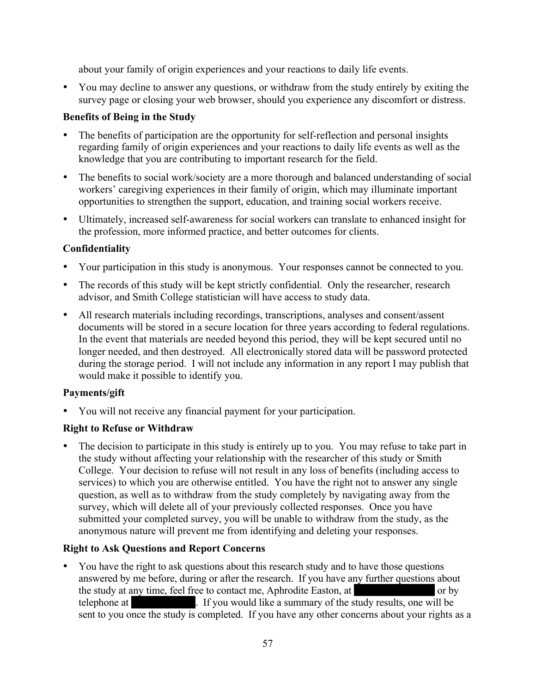about your family of origin experiences and your reactions to daily life events.

• You may decline to answer any questions, or withdraw from the study entirely by exiting the survey page or closing your web browser, should you experience any discomfort or distress.

### **Benefits of Being in the Study**

- The benefits of participation are the opportunity for self-reflection and personal insights regarding family of origin experiences and your reactions to daily life events as well as the knowledge that you are contributing to important research for the field.
- The benefits to social work/society are a more thorough and balanced understanding of social workers' caregiving experiences in their family of origin, which may illuminate important opportunities to strengthen the support, education, and training social workers receive.
- Ultimately, increased self-awareness for social workers can translate to enhanced insight for the profession, more informed practice, and better outcomes for clients.

## **Confidentiality**

- Your participation in this study is anonymous. Your responses cannot be connected to you.
- The records of this study will be kept strictly confidential. Only the researcher, research advisor, and Smith College statistician will have access to study data.
- All research materials including recordings, transcriptions, analyses and consent/assent documents will be stored in a secure location for three years according to federal regulations. In the event that materials are needed beyond this period, they will be kept secured until no longer needed, and then destroyed. All electronically stored data will be password protected during the storage period. I will not include any information in any report I may publish that would make it possible to identify you.

## **Payments/gift**

• You will not receive any financial payment for your participation.

### **Right to Refuse or Withdraw**

• The decision to participate in this study is entirely up to you.You may refuse to take part in the study without affecting your relationship with the researcher of this study or Smith College. Your decision to refuse will not result in any loss of benefits (including access to services) to which you are otherwise entitled. You have the right not to answer any single question, as well as to withdraw from the study completely by navigating away from the survey, which will delete all of your previously collected responses. Once you have submitted your completed survey, you will be unable to withdraw from the study, as the anonymous nature will prevent me from identifying and deleting your responses.

## **Right to Ask Questions and Report Concerns**

• You have the right to ask questions about this research study and to have those questions answered by me before, during or after the research. If you have any further questions about the study at any time, feel free to contact me, Aphrodite Easton, at archives or by telephone at (413) 1. If you would like a summary of the study results, one will be sent to you once the study is completed.If you have any other concerns about your rights as a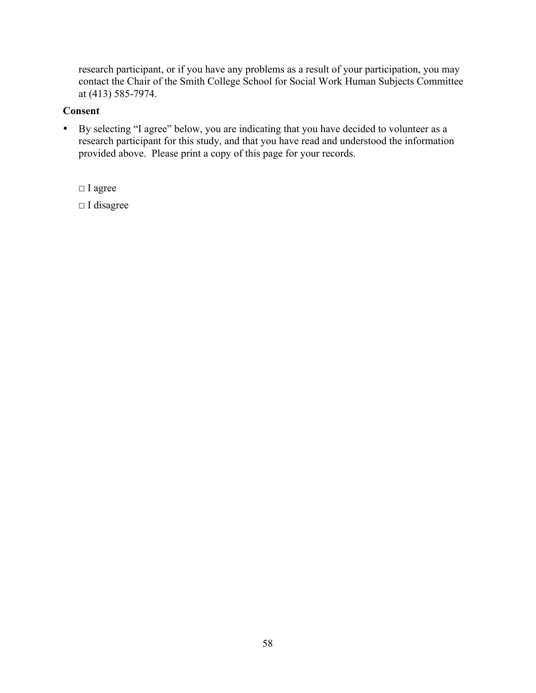research participant, or if you have any problems as a result of your participation, you may contact the Chair of the Smith College School for Social Work Human Subjects Committee at (413) 585-7974.

#### **Consent**

• By selecting "I agree" below, you are indicating that you have decided to volunteer as a research participant for this study, and that you have read and understood the information provided above. Please print a copy of this page for your records.

**☐** I agree

**☐** I disagree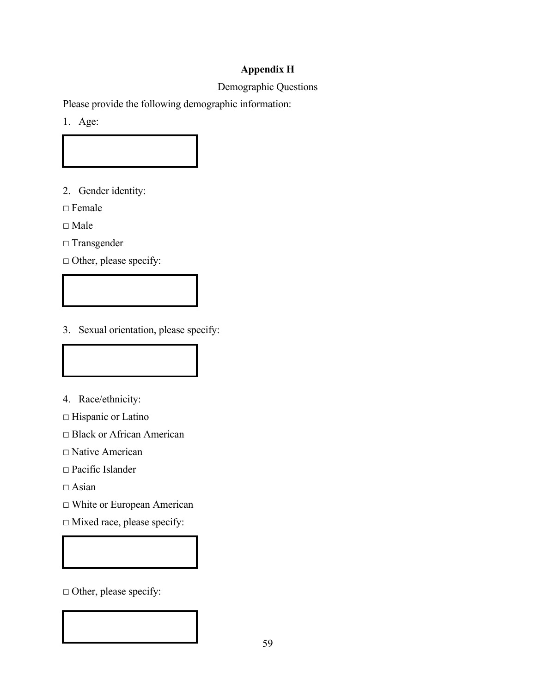## **Appendix H**

## Demographic Questions

Please provide the following demographic information:

1. Age:

2. Gender identity:

**☐** Female

**☐** Male

**☐** Transgender

□ Other, please specify:

3. Sexual orientation, please specify:

- 4. Race/ethnicity:
- **☐** Hispanic or Latino
- **☐** Black or African American
- **☐** Native American
- **☐** Pacific Islander

**☐** Asian

- **☐** White or European American
- **☐** Mixed race, please specify:

**☐** Other, please specify: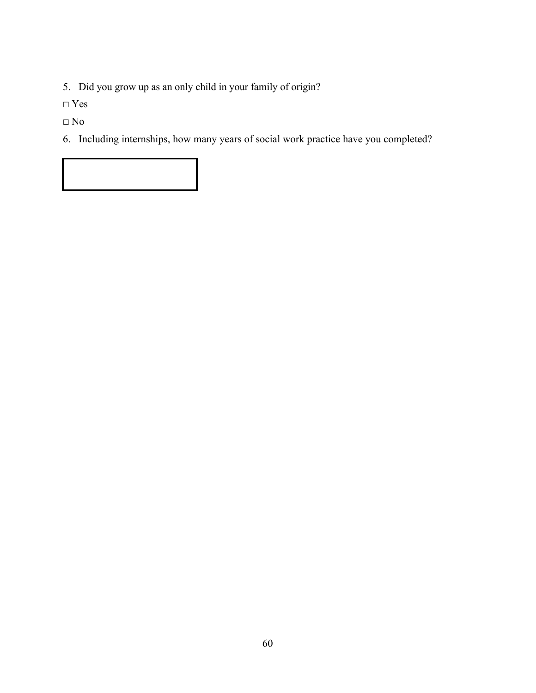5. Did you grow up as an only child in your family of origin?

**☐** Yes

**☐** No

6. Including internships, how many years of social work practice have you completed?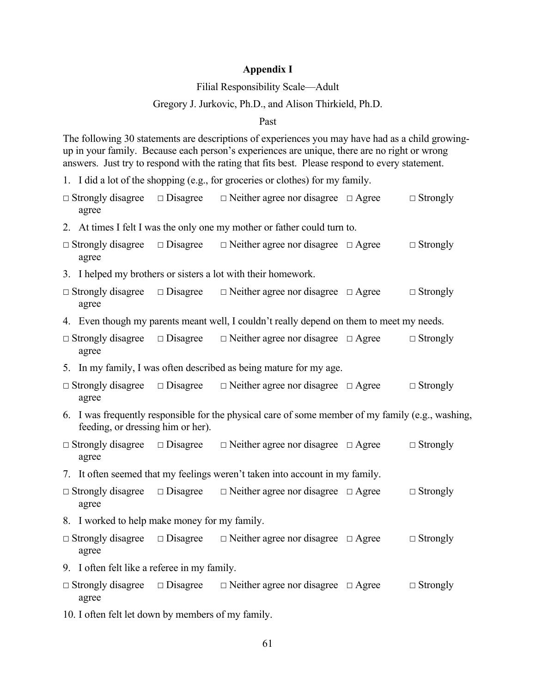### **Appendix I**

### Filial Responsibility Scale—Adult

### Gregory J. Jurkovic, Ph.D., and Alison Thirkield, Ph.D.

#### Past

The following 30 statements are descriptions of experiences you may have had as a child growingup in your family. Because each person's experiences are unique, there are no right or wrong answers. Just try to respond with the rating that fits best. Please respond to every statement.

1. I did a lot of the shopping (e.g., for groceries or clothes) for my family.

| $\Box$ Strongly disagree<br>agree                                                                                                      |                 | $\Box$ Disagree $\Box$ Neither agree nor disagree $\Box$ Agree                           |  | $\Box$ Strongly |  |  |
|----------------------------------------------------------------------------------------------------------------------------------------|-----------------|------------------------------------------------------------------------------------------|--|-----------------|--|--|
|                                                                                                                                        |                 | 2. At times I felt I was the only one my mother or father could turn to.                 |  |                 |  |  |
| $\Box$ Strongly disagree<br>agree                                                                                                      | $\Box$ Disagree | $\Box$ Neither agree nor disagree $\Box$ Agree                                           |  | $\Box$ Strongly |  |  |
|                                                                                                                                        |                 | 3. I helped my brothers or sisters a lot with their homework.                            |  |                 |  |  |
| $\Box$ Strongly disagree<br>agree                                                                                                      | $\Box$ Disagree | $\Box$ Neither agree nor disagree $\Box$ Agree                                           |  | $\Box$ Strongly |  |  |
|                                                                                                                                        |                 | 4. Even though my parents meant well, I couldn't really depend on them to meet my needs. |  |                 |  |  |
| $\Box$ Strongly disagree<br>agree                                                                                                      | $\Box$ Disagree | $\Box$ Neither agree nor disagree $\Box$ Agree                                           |  | $\Box$ Strongly |  |  |
|                                                                                                                                        |                 | 5. In my family, I was often described as being mature for my age.                       |  |                 |  |  |
| agree                                                                                                                                  |                 | $\Box$ Strongly disagree $\Box$ Disagree $\Box$ Neither agree nor disagree $\Box$ Agree  |  | $\Box$ Strongly |  |  |
| 6. I was frequently responsible for the physical care of some member of my family (e.g., washing,<br>feeding, or dressing him or her). |                 |                                                                                          |  |                 |  |  |
| agree                                                                                                                                  |                 | $\Box$ Strongly disagree $\Box$ Disagree $\Box$ Neither agree nor disagree $\Box$ Agree  |  | $\Box$ Strongly |  |  |
|                                                                                                                                        |                 | 7. It often seemed that my feelings weren't taken into account in my family.             |  |                 |  |  |
| $\Box$ Strongly disagree<br>agree                                                                                                      | $\Box$ Disagree | $\Box$ Neither agree nor disagree $\Box$ Agree                                           |  | $\Box$ Strongly |  |  |
| 8. I worked to help make money for my family.                                                                                          |                 |                                                                                          |  |                 |  |  |
| $\Box$ Strongly disagree<br>agree                                                                                                      | $\Box$ Disagree | $\Box$ Neither agree nor disagree $\Box$ Agree                                           |  | $\Box$ Strongly |  |  |
| 9. I often felt like a referee in my family.                                                                                           |                 |                                                                                          |  |                 |  |  |
| $\Box$ Strongly disagree<br>agree                                                                                                      |                 | $\Box$ Disagree $\Box$ Neither agree nor disagree $\Box$ Agree                           |  | $\Box$ Strongly |  |  |
| 10. I often felt let down by members of my family.                                                                                     |                 |                                                                                          |  |                 |  |  |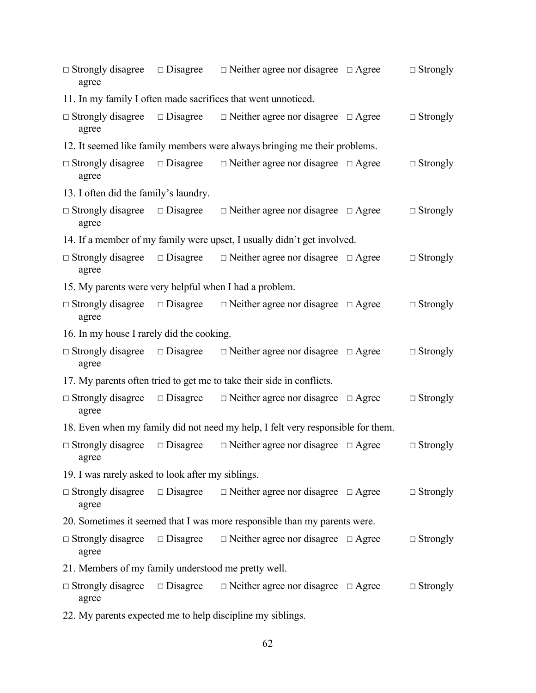| $\Box$ Strongly disagree<br>agree                          | $\Box$ Disagree                                     | $\Box$ Neither agree nor disagree $\Box$ Agree                                  |  | $\Box$ Strongly |  |  |  |
|------------------------------------------------------------|-----------------------------------------------------|---------------------------------------------------------------------------------|--|-----------------|--|--|--|
|                                                            |                                                     | 11. In my family I often made sacrifices that went unnoticed.                   |  |                 |  |  |  |
| $\Box$ Strongly disagree<br>agree                          | $\Box$ Disagree                                     | $\Box$ Neither agree nor disagree $\Box$ Agree                                  |  | $\Box$ Strongly |  |  |  |
|                                                            |                                                     | 12. It seemed like family members were always bringing me their problems.       |  |                 |  |  |  |
| $\Box$ Strongly disagree<br>agree                          | $\Box$ Disagree                                     | $\Box$ Neither agree nor disagree $\Box$ Agree                                  |  | $\Box$ Strongly |  |  |  |
| 13. I often did the family's laundry.                      |                                                     |                                                                                 |  |                 |  |  |  |
| $\Box$ Strongly disagree<br>agree                          | $\Box$ Disagree                                     | $\Box$ Neither agree nor disagree $\Box$ Agree                                  |  | $\Box$ Strongly |  |  |  |
|                                                            |                                                     | 14. If a member of my family were upset, I usually didn't get involved.         |  |                 |  |  |  |
| $\Box$ Strongly disagree<br>agree                          | $\Box$ Disagree                                     | $\Box$ Neither agree nor disagree $\Box$ Agree                                  |  | $\Box$ Strongly |  |  |  |
| 15. My parents were very helpful when I had a problem.     |                                                     |                                                                                 |  |                 |  |  |  |
| $\Box$ Strongly disagree<br>agree                          | $\Box$ Disagree                                     | $\Box$ Neither agree nor disagree $\Box$ Agree                                  |  | $\Box$ Strongly |  |  |  |
| 16. In my house I rarely did the cooking.                  |                                                     |                                                                                 |  |                 |  |  |  |
| $\Box$ Strongly disagree<br>agree                          | $\Box$ Disagree                                     | $\Box$ Neither agree nor disagree $\Box$ Agree                                  |  | $\Box$ Strongly |  |  |  |
|                                                            |                                                     | 17. My parents often tried to get me to take their side in conflicts.           |  |                 |  |  |  |
| $\Box$ Strongly disagree<br>agree                          | $\Box$ Disagree                                     | $\Box$ Neither agree nor disagree $\Box$ Agree                                  |  | $\Box$ Strongly |  |  |  |
|                                                            |                                                     | 18. Even when my family did not need my help, I felt very responsible for them. |  |                 |  |  |  |
| $\Box$ Strongly disagree<br>agree                          | $\Box$ Disagree                                     | $\Box$ Neither agree nor disagree $\Box$ Agree                                  |  | $\Box$ Strongly |  |  |  |
| 19. I was rarely asked to look after my siblings.          |                                                     |                                                                                 |  |                 |  |  |  |
| $\Box$ Strongly disagree<br>agree                          |                                                     | $\Box$ Disagree $\Box$ Neither agree nor disagree $\Box$ Agree                  |  | $\Box$ Strongly |  |  |  |
|                                                            |                                                     | 20. Sometimes it seemed that I was more responsible than my parents were.       |  |                 |  |  |  |
| $\Box$ Strongly disagree<br>agree                          | $\Box$ Disagree                                     | $\Box$ Neither agree nor disagree $\Box$ Agree                                  |  | $\Box$ Strongly |  |  |  |
|                                                            | 21. Members of my family understood me pretty well. |                                                                                 |  |                 |  |  |  |
| $\Box$ Strongly disagree<br>agree                          | $\Box$ Disagree                                     | $\Box$ Neither agree nor disagree $\Box$ Agree                                  |  | $\Box$ Strongly |  |  |  |
| 22. My parents expected me to help discipline my siblings. |                                                     |                                                                                 |  |                 |  |  |  |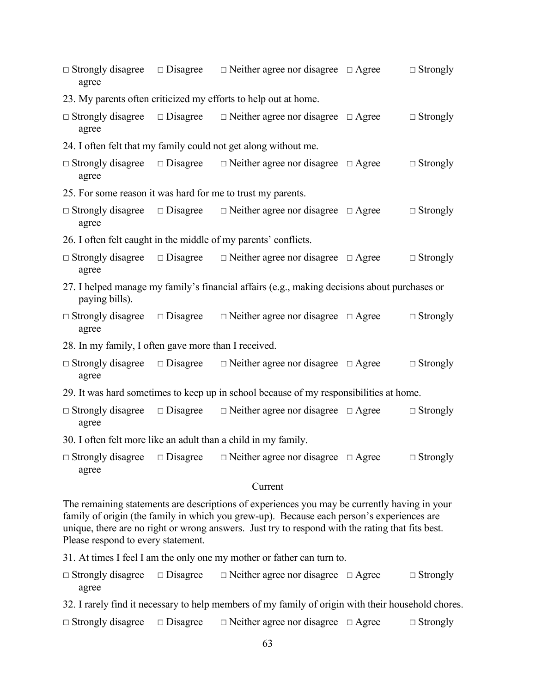| agree                                                                                                          |                 | $\Box$ Strongly disagree $\Box$ Disagree $\Box$ Neither agree nor disagree $\Box$ Agree |  | $\Box$ Strongly |  |  |  |
|----------------------------------------------------------------------------------------------------------------|-----------------|-----------------------------------------------------------------------------------------|--|-----------------|--|--|--|
| 23. My parents often criticized my efforts to help out at home.                                                |                 |                                                                                         |  |                 |  |  |  |
| $\Box$ Strongly disagree<br>agree                                                                              | $\Box$ Disagree | $\Box$ Neither agree nor disagree $\Box$ Agree                                          |  | $\Box$ Strongly |  |  |  |
| 24. I often felt that my family could not get along without me.                                                |                 |                                                                                         |  |                 |  |  |  |
| $\Box$ Strongly disagree<br>agree                                                                              | $\Box$ Disagree | $\Box$ Neither agree nor disagree $\Box$ Agree                                          |  | $\Box$ Strongly |  |  |  |
| 25. For some reason it was hard for me to trust my parents.                                                    |                 |                                                                                         |  |                 |  |  |  |
| $\Box$ Strongly disagree<br>agree                                                                              |                 | $\Box$ Disagree $\Box$ Neither agree nor disagree $\Box$ Agree                          |  | $\Box$ Strongly |  |  |  |
| 26. I often felt caught in the middle of my parents' conflicts.                                                |                 |                                                                                         |  |                 |  |  |  |
| agree                                                                                                          |                 | $\Box$ Strongly disagree $\Box$ Disagree $\Box$ Neither agree nor disagree $\Box$ Agree |  | $\Box$ Strongly |  |  |  |
| 27. I helped manage my family's financial affairs (e.g., making decisions about purchases or<br>paying bills). |                 |                                                                                         |  |                 |  |  |  |
| $\Box$ Strongly disagree<br>agree                                                                              |                 | $\Box$ Disagree $\Box$ Neither agree nor disagree $\Box$ Agree                          |  | $\Box$ Strongly |  |  |  |
| 28. In my family, I often gave more than I received.                                                           |                 |                                                                                         |  |                 |  |  |  |
| $\Box$ Strongly disagree<br>agree                                                                              | $\Box$ Disagree | $\Box$ Neither agree nor disagree $\Box$ Agree                                          |  | $\Box$ Strongly |  |  |  |
| 29. It was hard sometimes to keep up in school because of my responsibilities at home.                         |                 |                                                                                         |  |                 |  |  |  |
| $\Box$ Strongly disagree<br>agree                                                                              |                 | $\Box$ Disagree $\Box$ Neither agree nor disagree $\Box$ Agree                          |  | $\Box$ Strongly |  |  |  |
| 30. I often felt more like an adult than a child in my family.                                                 |                 |                                                                                         |  |                 |  |  |  |
| $\Box$ Strongly disagree $\Box$ Disagree<br>agree                                                              |                 | $\Box$ Neither agree nor disagree $\Box$ Agree                                          |  | $\Box$ Strongly |  |  |  |
|                                                                                                                |                 | $\sim$ $\sim$                                                                           |  |                 |  |  |  |

Current

The remaining statements are descriptions of experiences you may be currently having in your family of origin (the family in which you grew-up). Because each person's experiences are unique, there are no right or wrong answers. Just try to respond with the rating that fits best. Please respond to every statement.

31. At times I feel I am the only one my mother or father can turn to.

- **☐** Strongly disagree **☐** Disagree **☐** Neither agree nor disagree **☐** Agree **☐** Strongly agree
- 32. I rarely find it necessary to help members of my family of origin with their household chores.
- **☐** Strongly disagree **☐** Disagree **☐** Neither agree nor disagree **☐** Agree **☐** Strongly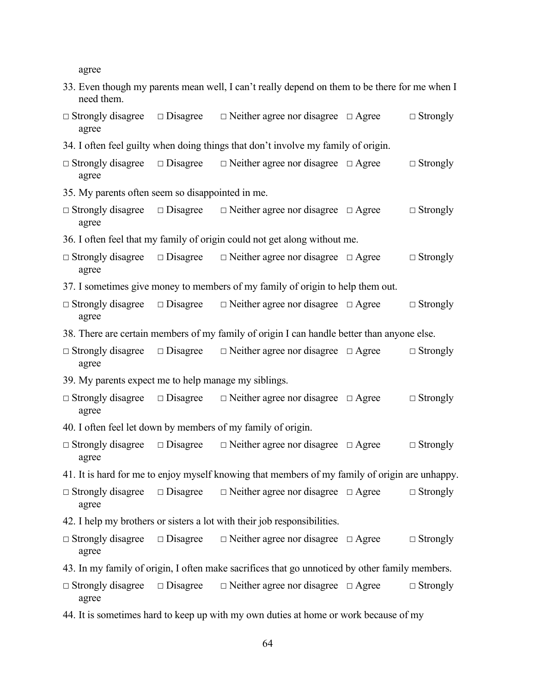agree

| need them.                                                                                     |                 | 33. Even though my parents mean well, I can't really depend on them to be there for me when I |              |                 |  |  |  |
|------------------------------------------------------------------------------------------------|-----------------|-----------------------------------------------------------------------------------------------|--------------|-----------------|--|--|--|
| $\Box$ Strongly disagree<br>agree                                                              | $\Box$ Disagree | $\Box$ Neither agree nor disagree $\Box$ Agree                                                |              | $\Box$ Strongly |  |  |  |
| 34. I often feel guilty when doing things that don't involve my family of origin.              |                 |                                                                                               |              |                 |  |  |  |
| $\Box$ Strongly disagree $\Box$ Disagree<br>agree                                              |                 | $\Box$ Neither agree nor disagree $\Box$ Agree                                                |              | $\Box$ Strongly |  |  |  |
| 35. My parents often seem so disappointed in me.                                               |                 |                                                                                               |              |                 |  |  |  |
| $\Box$ Strongly disagree<br>agree                                                              | $\Box$ Disagree | $\Box$ Neither agree nor disagree $\Box$ Agree                                                |              | $\Box$ Strongly |  |  |  |
|                                                                                                |                 | 36. I often feel that my family of origin could not get along without me.                     |              |                 |  |  |  |
| $\Box$ Strongly disagree<br>agree                                                              | $\Box$ Disagree | $\Box$ Neither agree nor disagree $\Box$ Agree                                                |              | $\Box$ Strongly |  |  |  |
| 37. I sometimes give money to members of my family of origin to help them out.                 |                 |                                                                                               |              |                 |  |  |  |
| $\Box$ Strongly disagree<br>agree                                                              | $\Box$ Disagree | $\Box$ Neither agree nor disagree $\Box$ Agree                                                |              | $\Box$ Strongly |  |  |  |
| 38. There are certain members of my family of origin I can handle better than anyone else.     |                 |                                                                                               |              |                 |  |  |  |
| $\Box$ Strongly disagree<br>agree                                                              | $\Box$ Disagree | $\Box$ Neither agree nor disagree $\Box$ Agree                                                |              | $\Box$ Strongly |  |  |  |
| 39. My parents expect me to help manage my siblings.                                           |                 |                                                                                               |              |                 |  |  |  |
| $\Box$ Strongly disagree<br>agree                                                              | $\Box$ Disagree | $\Box$ Neither agree nor disagree $\Box$ Agree                                                |              | $\Box$ Strongly |  |  |  |
| 40. I often feel let down by members of my family of origin.                                   |                 |                                                                                               |              |                 |  |  |  |
| $\Box$ Strongly disagree<br>agree                                                              |                 | $\Box$ Disagree $\Box$ Neither agree nor disagree                                             | $\Box$ Agree | $\Box$ Strongly |  |  |  |
| 41. It is hard for me to enjoy myself knowing that members of my family of origin are unhappy. |                 |                                                                                               |              |                 |  |  |  |
| $\Box$ Strongly disagree<br>agree                                                              | $\Box$ Disagree | $\Box$ Neither agree nor disagree $\Box$ Agree                                                |              | $\Box$ Strongly |  |  |  |
|                                                                                                |                 | 42. I help my brothers or sisters a lot with their job responsibilities.                      |              |                 |  |  |  |
| $\Box$ Strongly disagree<br>agree                                                              | $\Box$ Disagree | $\Box$ Neither agree nor disagree $\Box$ Agree                                                |              | $\Box$ Strongly |  |  |  |
| 43. In my family of origin, I often make sacrifices that go unnoticed by other family members. |                 |                                                                                               |              |                 |  |  |  |
| $\Box$ Strongly disagree<br>agree                                                              | $\Box$ Disagree | $\Box$ Neither agree nor disagree $\Box$ Agree                                                |              | $\Box$ Strongly |  |  |  |
| 44. It is sometimes hard to keep up with my own duties at home or work because of my           |                 |                                                                                               |              |                 |  |  |  |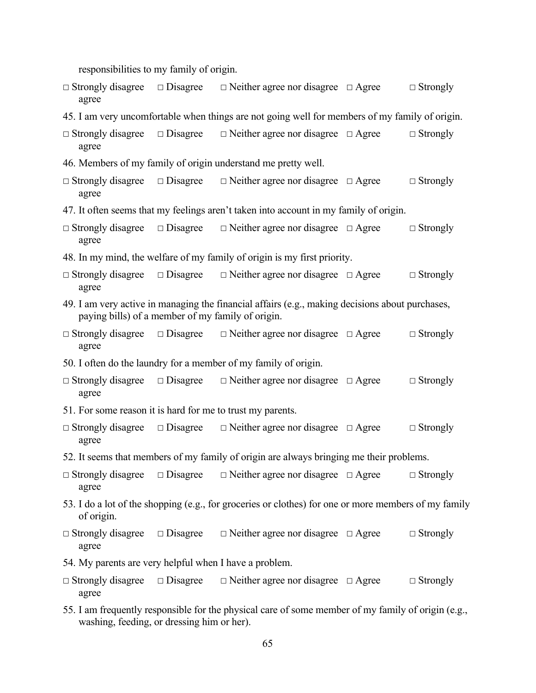responsibilities to my family of origin.

- **☐** Strongly disagree **☐** Disagree **☐** Neither agree nor disagree **☐** Agree **☐** Strongly agree
- 45. I am very uncomfortable when things are not going well for members of my family of origin.

|       | $\Box$ Strongly disagree $\Box$ Disagree $\Box$ Neither agree nor disagree $\Box$ Agree | $\Box$ Strongly |
|-------|-----------------------------------------------------------------------------------------|-----------------|
| agree |                                                                                         |                 |

- 46. Members of my family of origin understand me pretty well.
- **☐** Strongly disagree **☐** Disagree **☐** Neither agree nor disagree **☐** Agree **☐** Strongly agree
- 47. It often seems that my feelings aren't taken into account in my family of origin.
- **☐** Strongly disagree **☐** Disagree **☐** Neither agree nor disagree **☐** Agree **☐** Strongly agree
- 48. In my mind, the welfare of my family of origin is my first priority.
- **☐** Strongly disagree **☐** Disagree **☐** Neither agree nor disagree **☐** Agree **☐** Strongly agree
- 49. I am very active in managing the financial affairs (e.g., making decisions about purchases, paying bills) of a member of my family of origin.
- **☐** Strongly disagree **☐** Disagree **☐** Neither agree nor disagree **☐** Agree **☐** Strongly agree
- 50. I often do the laundry for a member of my family of origin.
- **☐** Strongly disagree **☐** Disagree **☐** Neither agree nor disagree **☐** Agree **☐** Strongly agree
- 51. For some reason it is hard for me to trust my parents.
- **☐** Strongly disagree **☐** Disagree **☐** Neither agree nor disagree **☐** Agree **☐** Strongly agree
- 52. It seems that members of my family of origin are always bringing me their problems.
- **☐** Strongly disagree **☐** Disagree **☐** Neither agree nor disagree **☐** Agree **☐** Strongly agree
- 53. I do a lot of the shopping (e.g., for groceries or clothes) for one or more members of my family of origin.
- **☐** Strongly disagree **☐** Disagree **☐** Neither agree nor disagree **☐** Agree **☐** Strongly agree
- 54. My parents are very helpful when I have a problem.
- **☐** Strongly disagree **☐** Disagree **☐** Neither agree nor disagree **☐** Agree **☐** Strongly agree
- 55. I am frequently responsible for the physical care of some member of my family of origin (e.g., washing, feeding, or dressing him or her).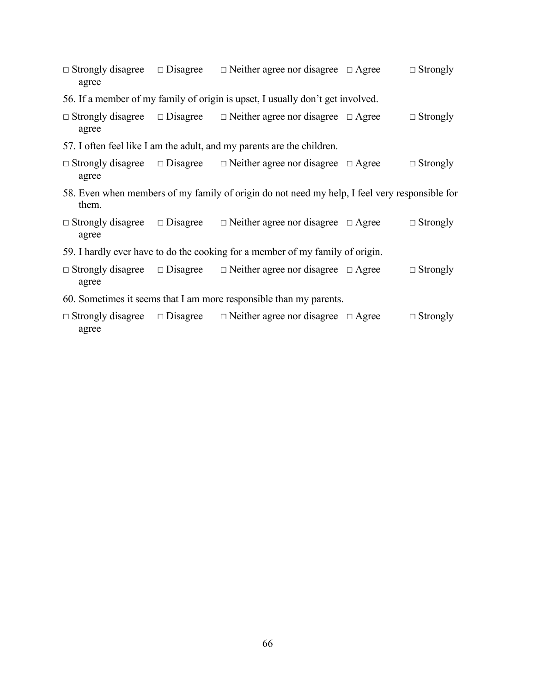- **☐** Strongly disagree **☐** Disagree **☐** Neither agree nor disagree **☐** Agree **☐** Strongly agree
- 56. If a member of my family of origin is upset, I usually don't get involved.
- **☐** Strongly disagree **☐** Disagree **☐** Neither agree nor disagree **☐** Agree **☐** Strongly agree
- 57. I often feel like I am the adult, and my parents are the children.
- **☐** Strongly disagree **☐** Disagree **☐** Neither agree nor disagree **☐** Agree **☐** Strongly agree
- 58. Even when members of my family of origin do not need my help, I feel very responsible for them.
- **☐** Strongly disagree **☐** Disagree **☐** Neither agree nor disagree **☐** Agree **☐** Strongly agree
- 59. I hardly ever have to do the cooking for a member of my family of origin.
- **☐** Strongly disagree **☐** Disagree **☐** Neither agree nor disagree **☐** Agree **☐** Strongly agree
- 60. Sometimes it seems that I am more responsible than my parents.
- **☐** Strongly disagree **☐** Disagree **☐** Neither agree nor disagree **☐** Agree **☐** Strongly agree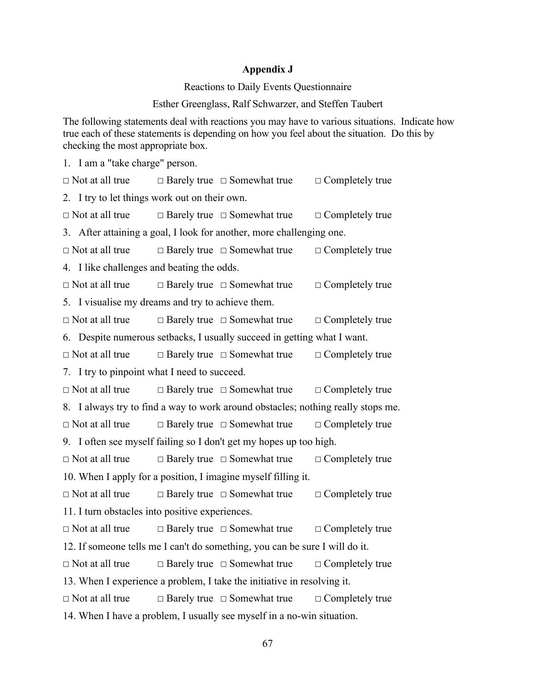#### **Appendix J**

Reactions to Daily Events Questionnaire

Esther Greenglass, Ralf Schwarzer, and Steffen Taubert

The following statements deal with reactions you may have to various situations. Indicate how true each of these statements is depending on how you feel about the situation. Do this by checking the most appropriate box.

1. I am a "take charge" person. **☐** Not at all true **☐** Barely true **☐** Somewhat true **☐** Completely true 2. I try to let things work out on their own. **☐** Not at all true **☐** Barely true **☐** Somewhat true **☐** Completely true 3. After attaining a goal, I look for another, more challenging one. **☐** Not at all true **☐** Barely true **☐** Somewhat true **☐** Completely true 4. I like challenges and beating the odds. **☐** Not at all true **☐** Barely true **☐** Somewhat true **☐** Completely true 5. I visualise my dreams and try to achieve them. **☐** Not at all true **☐** Barely true **☐** Somewhat true **☐** Completely true 6. Despite numerous setbacks, I usually succeed in getting what I want. **☐** Not at all true **☐** Barely true **☐** Somewhat true **☐** Completely true 7. I try to pinpoint what I need to succeed. **☐** Not at all true **☐** Barely true **☐** Somewhat true **☐** Completely true 8. I always try to find a way to work around obstacles; nothing really stops me. **☐** Not at all true **☐** Barely true **☐** Somewhat true **☐** Completely true 9. I often see myself failing so I don't get my hopes up too high. **☐** Not at all true **☐** Barely true **☐** Somewhat true **☐** Completely true 10. When I apply for a position, I imagine myself filling it. **☐** Not at all true **☐** Barely true **☐** Somewhat true **☐** Completely true 11. I turn obstacles into positive experiences. **☐** Not at all true **☐** Barely true **☐** Somewhat true **☐** Completely true 12. If someone tells me I can't do something, you can be sure I will do it. **☐** Not at all true **☐** Barely true **☐** Somewhat true **☐** Completely true 13. When I experience a problem, I take the initiative in resolving it. **☐** Not at all true **☐** Barely true **☐** Somewhat true **☐** Completely true 14. When I have a problem, I usually see myself in a no-win situation.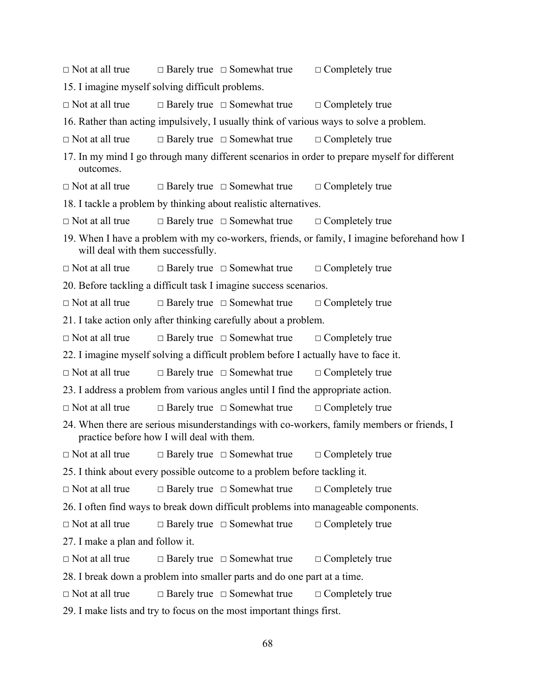- **☐** Not at all true **☐** Barely true **☐** Somewhat true **☐** Completely true 15. I imagine myself solving difficult problems. **☐** Not at all true **☐** Barely true **☐** Somewhat true **☐** Completely true 16. Rather than acting impulsively, I usually think of various ways to solve a problem. **☐** Not at all true **☐** Barely true **☐** Somewhat true **☐** Completely true 17. In my mind I go through many different scenarios in order to prepare myself for different outcomes. **☐** Not at all true **☐** Barely true **☐** Somewhat true **☐** Completely true 18. I tackle a problem by thinking about realistic alternatives. **☐** Not at all true **☐** Barely true **☐** Somewhat true **☐** Completely true 19. When I have a problem with my co-workers, friends, or family, I imagine beforehand how I will deal with them successfully. **☐** Not at all true **☐** Barely true **☐** Somewhat true **☐** Completely true 20. Before tackling a difficult task I imagine success scenarios. **☐** Not at all true **☐** Barely true **☐** Somewhat true **☐** Completely true 21. I take action only after thinking carefully about a problem. **☐** Not at all true **☐** Barely true **☐** Somewhat true **☐** Completely true 22. I imagine myself solving a difficult problem before I actually have to face it. **☐** Not at all true **☐** Barely true **☐** Somewhat true **☐** Completely true 23. I address a problem from various angles until I find the appropriate action. **☐** Not at all true **☐** Barely true **☐** Somewhat true **☐** Completely true 24. When there are serious misunderstandings with co-workers, family members or friends, I practice before how I will deal with them. **☐** Not at all true **☐** Barely true **☐** Somewhat true **☐** Completely true 25. I think about every possible outcome to a problem before tackling it. **☐** Not at all true **☐** Barely true **☐** Somewhat true **☐** Completely true 26. I often find ways to break down difficult problems into manageable components. **☐** Not at all true **☐** Barely true **☐** Somewhat true **☐** Completely true 27. I make a plan and follow it. **☐** Not at all true **☐** Barely true **☐** Somewhat true **☐** Completely true 28. I break down a problem into smaller parts and do one part at a time. **☐** Not at all true **☐** Barely true **☐** Somewhat true **☐** Completely true 29. I make lists and try to focus on the most important things first.
	- 68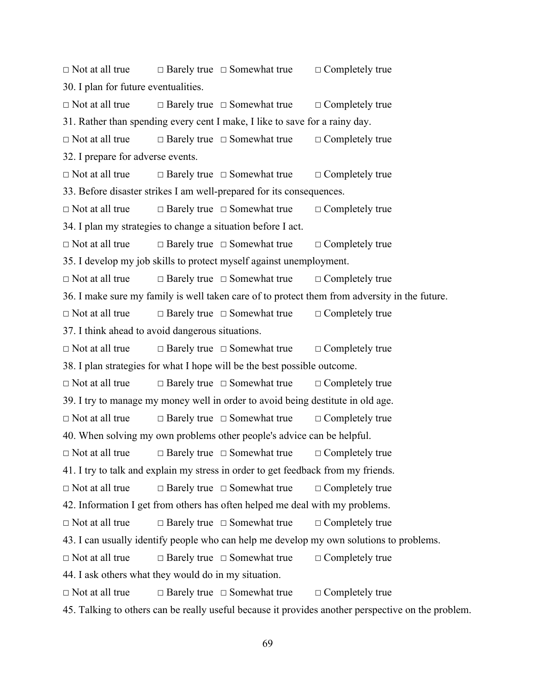**☐** Not at all true **☐** Barely true **☐** Somewhat true **☐** Completely true 30. I plan for future eventualities. **☐** Not at all true **☐** Barely true **☐** Somewhat true **☐** Completely true 31. Rather than spending every cent I make, I like to save for a rainy day. **☐** Not at all true **☐** Barely true **☐** Somewhat true **☐** Completely true 32. I prepare for adverse events. **☐** Not at all true **☐** Barely true **☐** Somewhat true **☐** Completely true 33. Before disaster strikes I am well-prepared for its consequences. **☐** Not at all true **☐** Barely true **☐** Somewhat true **☐** Completely true 34. I plan my strategies to change a situation before I act. **☐** Not at all true **☐** Barely true **☐** Somewhat true **☐** Completely true 35. I develop my job skills to protect myself against unemployment. **☐** Not at all true **☐** Barely true **☐** Somewhat true **☐** Completely true 36. I make sure my family is well taken care of to protect them from adversity in the future. **☐** Not at all true **☐** Barely true **☐** Somewhat true **☐** Completely true 37. I think ahead to avoid dangerous situations. **☐** Not at all true **☐** Barely true **☐** Somewhat true **☐** Completely true 38. I plan strategies for what I hope will be the best possible outcome. **☐** Not at all true **☐** Barely true **☐** Somewhat true **☐** Completely true 39. I try to manage my money well in order to avoid being destitute in old age. **☐** Not at all true **☐** Barely true **☐** Somewhat true **☐** Completely true 40. When solving my own problems other people's advice can be helpful. **☐** Not at all true **☐** Barely true **☐** Somewhat true **☐** Completely true 41. I try to talk and explain my stress in order to get feedback from my friends. **☐** Not at all true **☐** Barely true **☐** Somewhat true **☐** Completely true 42. Information I get from others has often helped me deal with my problems. **☐** Not at all true **☐** Barely true **☐** Somewhat true **☐** Completely true 43. I can usually identify people who can help me develop my own solutions to problems. **☐** Not at all true **☐** Barely true **☐** Somewhat true **☐** Completely true 44. I ask others what they would do in my situation. **☐** Not at all true **☐** Barely true **☐** Somewhat true **☐** Completely true 45. Talking to others can be really useful because it provides another perspective on the problem.

69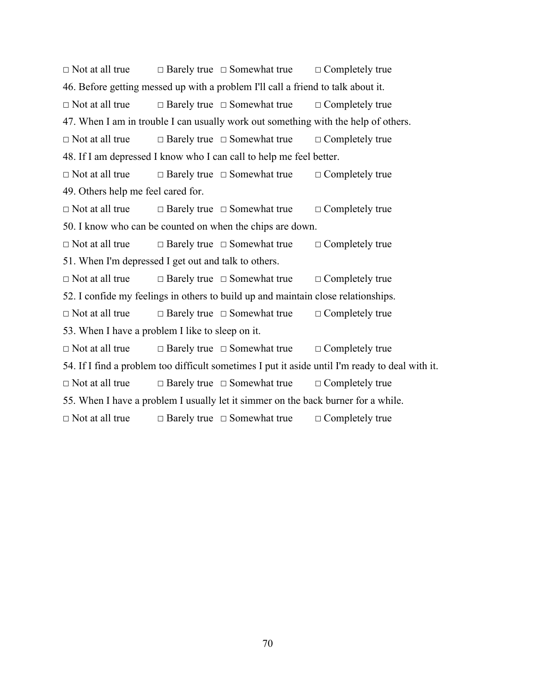**☐** Not at all true **☐** Barely true **☐** Somewhat true **☐** Completely true 46. Before getting messed up with a problem I'll call a friend to talk about it. **☐** Not at all true **☐** Barely true **☐** Somewhat true **☐** Completely true 47. When I am in trouble I can usually work out something with the help of others. **☐** Not at all true **☐** Barely true **☐** Somewhat true **☐** Completely true 48. If I am depressed I know who I can call to help me feel better. **☐** Not at all true **☐** Barely true **☐** Somewhat true **☐** Completely true 49. Others help me feel cared for. **☐** Not at all true **☐** Barely true **☐** Somewhat true **☐** Completely true 50. I know who can be counted on when the chips are down. **☐** Not at all true **☐** Barely true **☐** Somewhat true **☐** Completely true 51. When I'm depressed I get out and talk to others. **☐** Not at all true **☐** Barely true **☐** Somewhat true **☐** Completely true 52. I confide my feelings in others to build up and maintain close relationships. **☐** Not at all true **☐** Barely true **☐** Somewhat true **☐** Completely true 53. When I have a problem I like to sleep on it. **☐** Not at all true **☐** Barely true **☐** Somewhat true **☐** Completely true 54. If I find a problem too difficult sometimes I put it aside until I'm ready to deal with it. **☐** Not at all true **☐** Barely true **☐** Somewhat true **☐** Completely true 55. When I have a problem I usually let it simmer on the back burner for a while. **☐** Not at all true **☐** Barely true **☐** Somewhat true **☐** Completely true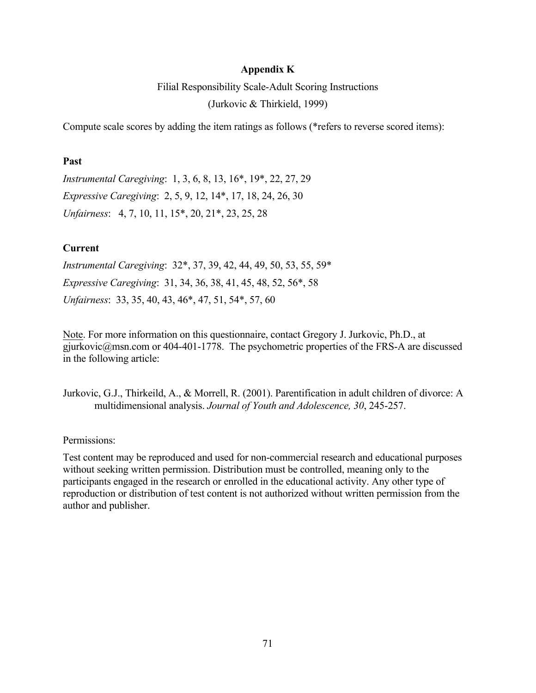## **Appendix K**

Filial Responsibility Scale-Adult Scoring Instructions (Jurkovic & Thirkield, 1999)

Compute scale scores by adding the item ratings as follows (\*refers to reverse scored items):

### **Past**

*Instrumental Caregiving*: 1, 3, 6, 8, 13, 16\*, 19\*, 22, 27, 29 *Expressive Caregiving*: 2, 5, 9, 12, 14\*, 17, 18, 24, 26, 30 *Unfairness*: 4, 7, 10, 11, 15\*, 20, 21\*, 23, 25, 28

# **Current**

*Instrumental Caregiving*: 32\*, 37, 39, 42, 44, 49, 50, 53, 55, 59\* *Expressive Caregiving*: 31, 34, 36, 38, 41, 45, 48, 52, 56\*, 58 *Unfairness*: 33, 35, 40, 43, 46\*, 47, 51, 54\*, 57, 60

Note. For more information on this questionnaire, contact Gregory J. Jurkovic, Ph.D., at gjurkovic@msn.com or 404-401-1778. The psychometric properties of the FRS-A are discussed in the following article:

Jurkovic, G.J., Thirkeild, A., & Morrell, R. (2001). Parentification in adult children of divorce: A multidimensional analysis. *Journal of Youth and Adolescence, 30*, 245-257.

Permissions:

Test content may be reproduced and used for non-commercial research and educational purposes without seeking written permission. Distribution must be controlled, meaning only to the participants engaged in the research or enrolled in the educational activity. Any other type of reproduction or distribution of test content is not authorized without written permission from the author and publisher.